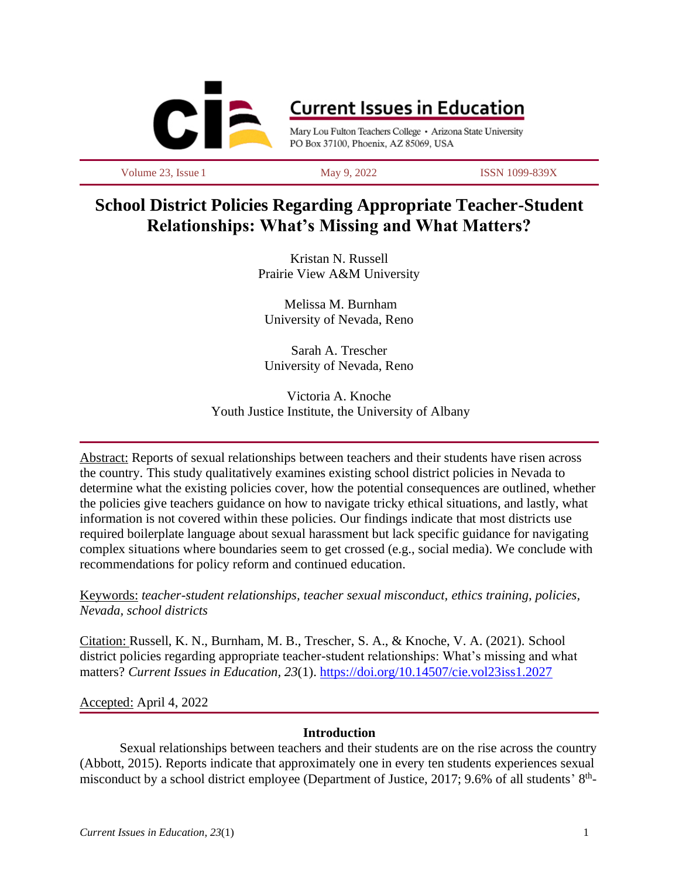

# **Current Issues in Education**

Mary Lou Fulton Teachers College · Arizona State University PO Box 37100, Phoenix, AZ 85069, USA

Volume 23, Issue 1 May 9, 2022 ISSN 1099-839X

## **School District Policies Regarding Appropriate Teacher-Student Relationships: What's Missing and What Matters?**

Kristan N. Russell Prairie View A&M University

Melissa M. Burnham University of Nevada, Reno

Sarah A. Trescher University of Nevada, Reno

Victoria A. Knoche Youth Justice Institute, the University of Albany

Abstract: Reports of sexual relationships between teachers and their students have risen across the country. This study qualitatively examines existing school district policies in Nevada to determine what the existing policies cover, how the potential consequences are outlined, whether the policies give teachers guidance on how to navigate tricky ethical situations, and lastly, what information is not covered within these policies. Our findings indicate that most districts use required boilerplate language about sexual harassment but lack specific guidance for navigating complex situations where boundaries seem to get crossed (e.g., social media). We conclude with recommendations for policy reform and continued education.

Keywords: *teacher-student relationships, teacher sexual misconduct, ethics training, policies, Nevada, school districts*

Citation: Russell, K. N., Burnham, M. B., Trescher, S. A., & Knoche, V. A. (2021). School district policies regarding appropriate teacher-student relationships: What's missing and what matters? *Current Issues in Education, 23*(1). <https://doi.org/10.14507/cie.vol23iss1.2027>

#### Accepted: April 4, 2022

#### **Introduction**

Sexual relationships between teachers and their students are on the rise across the country (Abbott, 2015). Reports indicate that approximately one in every ten students experiences sexual misconduct by a school district employee (Department of Justice, 2017; 9.6% of all students' 8<sup>th</sup>-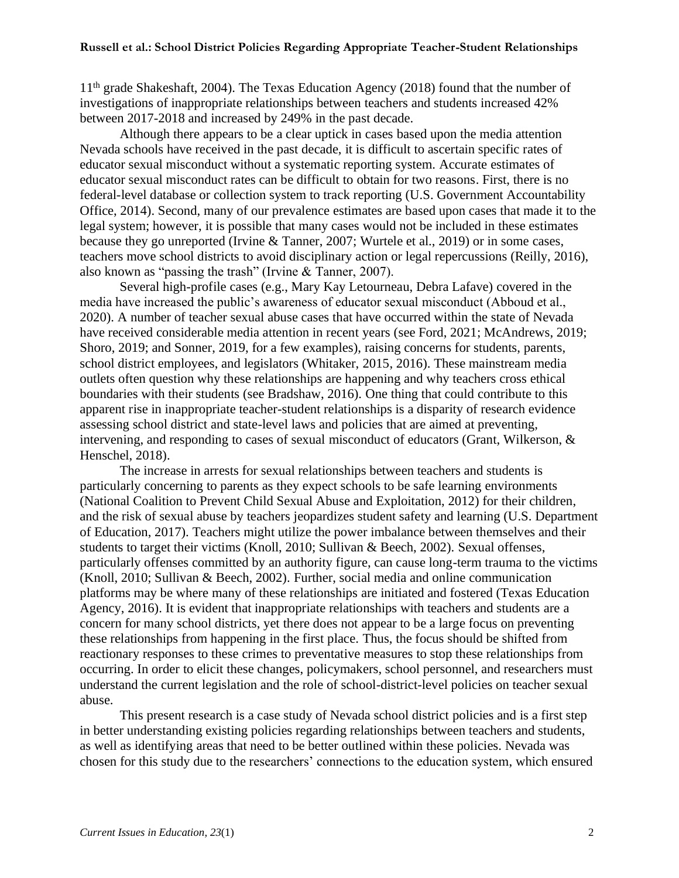11th grade Shakeshaft, 2004). The Texas Education Agency (2018) found that the number of investigations of inappropriate relationships between teachers and students increased 42% between 2017-2018 and increased by 249% in the past decade.

Although there appears to be a clear uptick in cases based upon the media attention Nevada schools have received in the past decade, it is difficult to ascertain specific rates of educator sexual misconduct without a systematic reporting system. Accurate estimates of educator sexual misconduct rates can be difficult to obtain for two reasons. First, there is no federal-level database or collection system to track reporting (U.S. Government Accountability Office, 2014). Second, many of our prevalence estimates are based upon cases that made it to the legal system; however, it is possible that many cases would not be included in these estimates because they go unreported (Irvine & Tanner, 2007; Wurtele et al., 2019) or in some cases, teachers move school districts to avoid disciplinary action or legal repercussions (Reilly, 2016), also known as "passing the trash" (Irvine & Tanner, 2007).

Several high-profile cases (e.g., Mary Kay Letourneau, Debra Lafave) covered in the media have increased the public's awareness of educator sexual misconduct (Abboud et al., 2020). A number of teacher sexual abuse cases that have occurred within the state of Nevada have received considerable media attention in recent years (see Ford, 2021; McAndrews, 2019; Shoro, 2019; and Sonner, 2019, for a few examples), raising concerns for students, parents, school district employees, and legislators (Whitaker, 2015, 2016). These mainstream media outlets often question why these relationships are happening and why teachers cross ethical boundaries with their students (see Bradshaw, 2016). One thing that could contribute to this apparent rise in inappropriate teacher-student relationships is a disparity of research evidence assessing school district and state-level laws and policies that are aimed at preventing, intervening, and responding to cases of sexual misconduct of educators (Grant, Wilkerson, & Henschel, 2018).

The increase in arrests for sexual relationships between teachers and students is particularly concerning to parents as they expect schools to be safe learning environments (National Coalition to Prevent Child Sexual Abuse and Exploitation, 2012) for their children, and the risk of sexual abuse by teachers jeopardizes student safety and learning (U.S. Department of Education, 2017). Teachers might utilize the power imbalance between themselves and their students to target their victims (Knoll, 2010; Sullivan & Beech, 2002). Sexual offenses, particularly offenses committed by an authority figure, can cause long-term trauma to the victims (Knoll, 2010; Sullivan & Beech, 2002). Further, social media and online communication platforms may be where many of these relationships are initiated and fostered (Texas Education Agency, 2016). It is evident that inappropriate relationships with teachers and students are a concern for many school districts, yet there does not appear to be a large focus on preventing these relationships from happening in the first place. Thus, the focus should be shifted from reactionary responses to these crimes to preventative measures to stop these relationships from occurring. In order to elicit these changes, policymakers, school personnel, and researchers must understand the current legislation and the role of school-district-level policies on teacher sexual abuse.

This present research is a case study of Nevada school district policies and is a first step in better understanding existing policies regarding relationships between teachers and students, as well as identifying areas that need to be better outlined within these policies. Nevada was chosen for this study due to the researchers' connections to the education system, which ensured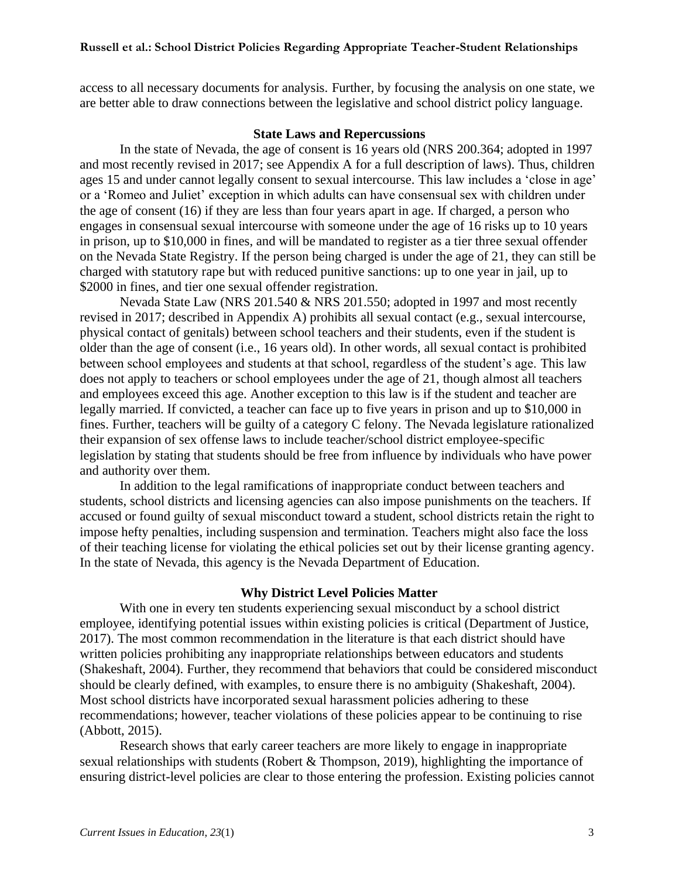access to all necessary documents for analysis. Further, by focusing the analysis on one state, we are better able to draw connections between the legislative and school district policy language.

#### **State Laws and Repercussions**

In the state of Nevada, the age of consent is 16 years old (NRS 200.364; adopted in 1997 and most recently revised in 2017; see Appendix A for a full description of laws). Thus, children ages 15 and under cannot legally consent to sexual intercourse. This law includes a 'close in age' or a 'Romeo and Juliet' exception in which adults can have consensual sex with children under the age of consent (16) if they are less than four years apart in age. If charged, a person who engages in consensual sexual intercourse with someone under the age of 16 risks up to 10 years in prison, up to \$10,000 in fines, and will be mandated to register as a tier three sexual offender on the Nevada State Registry. If the person being charged is under the age of 21, they can still be charged with statutory rape but with reduced punitive sanctions: up to one year in jail, up to \$2000 in fines, and tier one sexual offender registration.

Nevada State Law (NRS 201.540 & NRS 201.550; adopted in 1997 and most recently revised in 2017; described in Appendix A) prohibits all sexual contact (e.g., sexual intercourse, physical contact of genitals) between school teachers and their students, even if the student is older than the age of consent (i.e., 16 years old). In other words, all sexual contact is prohibited between school employees and students at that school, regardless of the student's age. This law does not apply to teachers or school employees under the age of 21, though almost all teachers and employees exceed this age. Another exception to this law is if the student and teacher are legally married. If convicted, a teacher can face up to five years in prison and up to \$10,000 in fines. Further, teachers will be guilty of a category C felony. The Nevada legislature rationalized their expansion of sex offense laws to include teacher/school district employee-specific legislation by stating that students should be free from influence by individuals who have power and authority over them.

In addition to the legal ramifications of inappropriate conduct between teachers and students, school districts and licensing agencies can also impose punishments on the teachers. If accused or found guilty of sexual misconduct toward a student, school districts retain the right to impose hefty penalties, including suspension and termination. Teachers might also face the loss of their teaching license for violating the ethical policies set out by their license granting agency. In the state of Nevada, this agency is the Nevada Department of Education.

#### **Why District Level Policies Matter**

With one in every ten students experiencing sexual misconduct by a school district employee, identifying potential issues within existing policies is critical (Department of Justice, 2017). The most common recommendation in the literature is that each district should have written policies prohibiting any inappropriate relationships between educators and students (Shakeshaft, 2004). Further, they recommend that behaviors that could be considered misconduct should be clearly defined, with examples, to ensure there is no ambiguity (Shakeshaft, 2004). Most school districts have incorporated sexual harassment policies adhering to these recommendations; however, teacher violations of these policies appear to be continuing to rise (Abbott, 2015).

Research shows that early career teachers are more likely to engage in inappropriate sexual relationships with students (Robert & Thompson, 2019), highlighting the importance of ensuring district-level policies are clear to those entering the profession. Existing policies cannot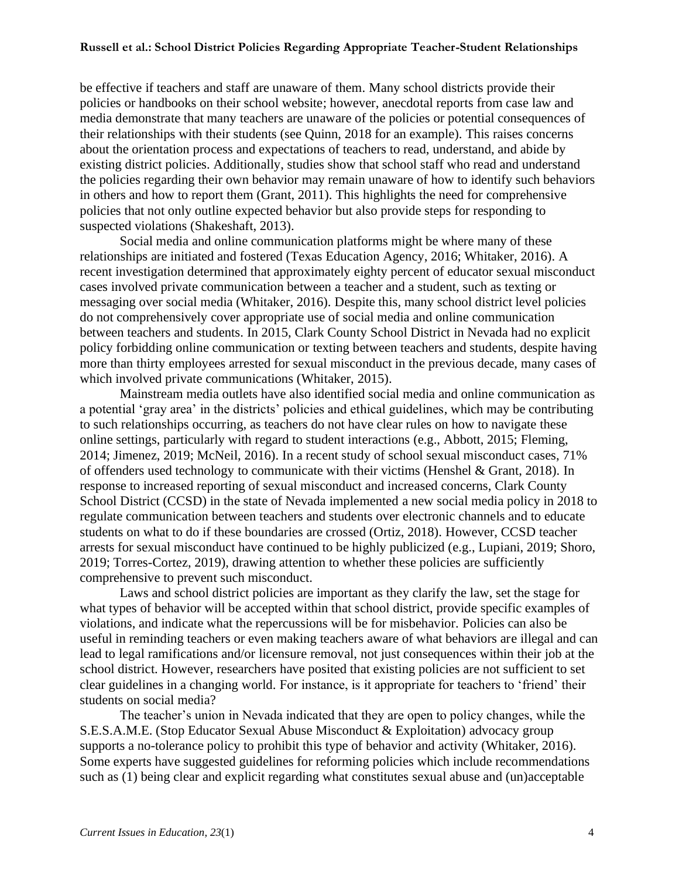be effective if teachers and staff are unaware of them. Many school districts provide their policies or handbooks on their school website; however, anecdotal reports from case law and media demonstrate that many teachers are unaware of the policies or potential consequences of their relationships with their students (see Quinn, 2018 for an example). This raises concerns about the orientation process and expectations of teachers to read, understand, and abide by existing district policies. Additionally, studies show that school staff who read and understand the policies regarding their own behavior may remain unaware of how to identify such behaviors in others and how to report them (Grant, 2011). This highlights the need for comprehensive policies that not only outline expected behavior but also provide steps for responding to suspected violations (Shakeshaft, 2013).

Social media and online communication platforms might be where many of these relationships are initiated and fostered (Texas Education Agency, 2016; Whitaker, 2016). A recent investigation determined that approximately eighty percent of educator sexual misconduct cases involved private communication between a teacher and a student, such as texting or messaging over social media (Whitaker, 2016). Despite this, many school district level policies do not comprehensively cover appropriate use of social media and online communication between teachers and students. In 2015, Clark County School District in Nevada had no explicit policy forbidding online communication or texting between teachers and students, despite having more than thirty employees arrested for sexual misconduct in the previous decade, many cases of which involved private communications (Whitaker, 2015).

Mainstream media outlets have also identified social media and online communication as a potential 'gray area' in the districts' policies and ethical guidelines, which may be contributing to such relationships occurring, as teachers do not have clear rules on how to navigate these online settings, particularly with regard to student interactions (e.g., Abbott, 2015; Fleming, 2014; Jimenez, 2019; McNeil, 2016). In a recent study of school sexual misconduct cases, 71% of offenders used technology to communicate with their victims (Henshel & Grant, 2018). In response to increased reporting of sexual misconduct and increased concerns, Clark County School District (CCSD) in the state of Nevada implemented a new social media policy in 2018 to regulate communication between teachers and students over electronic channels and to educate students on what to do if these boundaries are crossed (Ortiz, 2018). However, CCSD teacher arrests for sexual misconduct have continued to be highly publicized (e.g., Lupiani, 2019; Shoro, 2019; Torres-Cortez, 2019), drawing attention to whether these policies are sufficiently comprehensive to prevent such misconduct.

Laws and school district policies are important as they clarify the law, set the stage for what types of behavior will be accepted within that school district, provide specific examples of violations, and indicate what the repercussions will be for misbehavior. Policies can also be useful in reminding teachers or even making teachers aware of what behaviors are illegal and can lead to legal ramifications and/or licensure removal, not just consequences within their job at the school district. However, researchers have posited that existing policies are not sufficient to set clear guidelines in a changing world. For instance, is it appropriate for teachers to 'friend' their students on social media?

The teacher's union in Nevada indicated that they are open to policy changes, while the S.E.S.A.M.E. (Stop Educator Sexual Abuse Misconduct & Exploitation) advocacy group supports a no-tolerance policy to prohibit this type of behavior and activity (Whitaker, 2016). Some experts have suggested guidelines for reforming policies which include recommendations such as (1) being clear and explicit regarding what constitutes sexual abuse and (un)acceptable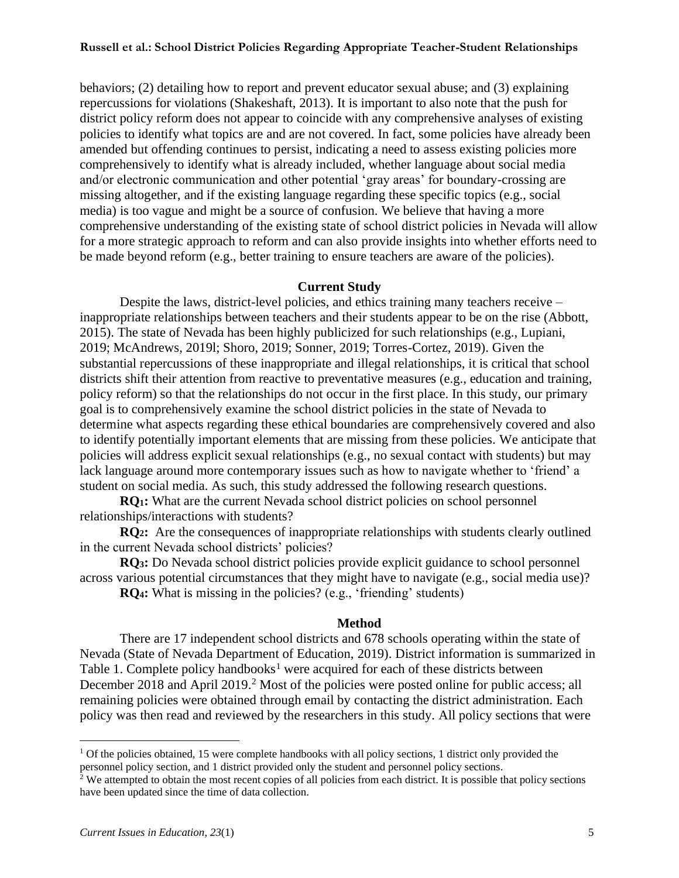behaviors; (2) detailing how to report and prevent educator sexual abuse; and (3) explaining repercussions for violations (Shakeshaft, 2013). It is important to also note that the push for district policy reform does not appear to coincide with any comprehensive analyses of existing policies to identify what topics are and are not covered. In fact, some policies have already been amended but offending continues to persist, indicating a need to assess existing policies more comprehensively to identify what is already included, whether language about social media and/or electronic communication and other potential 'gray areas' for boundary-crossing are missing altogether, and if the existing language regarding these specific topics (e.g., social media) is too vague and might be a source of confusion. We believe that having a more comprehensive understanding of the existing state of school district policies in Nevada will allow for a more strategic approach to reform and can also provide insights into whether efforts need to be made beyond reform (e.g., better training to ensure teachers are aware of the policies).

#### **Current Study**

Despite the laws, district-level policies, and ethics training many teachers receive – inappropriate relationships between teachers and their students appear to be on the rise (Abbott, 2015). The state of Nevada has been highly publicized for such relationships (e.g., Lupiani, 2019; McAndrews, 2019l; Shoro, 2019; Sonner, 2019; Torres-Cortez, 2019). Given the substantial repercussions of these inappropriate and illegal relationships, it is critical that school districts shift their attention from reactive to preventative measures (e.g., education and training, policy reform) so that the relationships do not occur in the first place. In this study, our primary goal is to comprehensively examine the school district policies in the state of Nevada to determine what aspects regarding these ethical boundaries are comprehensively covered and also to identify potentially important elements that are missing from these policies. We anticipate that policies will address explicit sexual relationships (e.g., no sexual contact with students) but may lack language around more contemporary issues such as how to navigate whether to 'friend' a student on social media. As such, this study addressed the following research questions.

**RQ1:** What are the current Nevada school district policies on school personnel relationships/interactions with students?

**RQ2:** Are the consequences of inappropriate relationships with students clearly outlined in the current Nevada school districts' policies?

**RQ3:** Do Nevada school district policies provide explicit guidance to school personnel across various potential circumstances that they might have to navigate (e.g., social media use)?

**RQ4:** What is missing in the policies? (e.g., 'friending' students)

#### **Method**

There are 17 independent school districts and 678 schools operating within the state of Nevada (State of Nevada Department of Education, 2019). District information is summarized in Table 1. Complete policy handbooks<sup>1</sup> were acquired for each of these districts between December 2018 and April 2019.<sup>2</sup> Most of the policies were posted online for public access; all remaining policies were obtained through email by contacting the district administration. Each policy was then read and reviewed by the researchers in this study. All policy sections that were

 $1$  Of the policies obtained, 15 were complete handbooks with all policy sections, 1 district only provided the personnel policy section, and 1 district provided only the student and personnel policy sections.

 $2$  We attempted to obtain the most recent copies of all policies from each district. It is possible that policy sections have been updated since the time of data collection.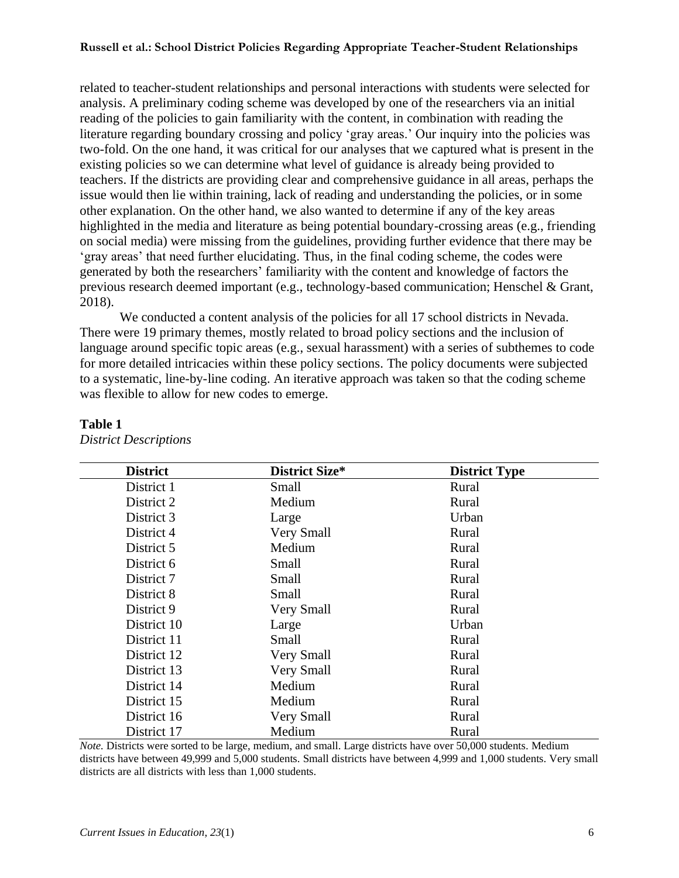related to teacher-student relationships and personal interactions with students were selected for analysis. A preliminary coding scheme was developed by one of the researchers via an initial reading of the policies to gain familiarity with the content, in combination with reading the literature regarding boundary crossing and policy 'gray areas.' Our inquiry into the policies was two-fold. On the one hand, it was critical for our analyses that we captured what is present in the existing policies so we can determine what level of guidance is already being provided to teachers. If the districts are providing clear and comprehensive guidance in all areas, perhaps the issue would then lie within training, lack of reading and understanding the policies, or in some other explanation. On the other hand, we also wanted to determine if any of the key areas highlighted in the media and literature as being potential boundary-crossing areas (e.g., friending on social media) were missing from the guidelines, providing further evidence that there may be 'gray areas' that need further elucidating. Thus, in the final coding scheme, the codes were generated by both the researchers' familiarity with the content and knowledge of factors the previous research deemed important (e.g., technology-based communication; Henschel & Grant, 2018).

We conducted a content analysis of the policies for all 17 school districts in Nevada. There were 19 primary themes, mostly related to broad policy sections and the inclusion of language around specific topic areas (e.g., sexual harassment) with a series of subthemes to code for more detailed intricacies within these policy sections. The policy documents were subjected to a systematic, line-by-line coding. An iterative approach was taken so that the coding scheme was flexible to allow for new codes to emerge.

| <b>District</b> | District Size* | <b>District Type</b> |  |
|-----------------|----------------|----------------------|--|
| District 1      | Small          | Rural                |  |
| District 2      | Medium         | Rural                |  |
| District 3      | Large          | Urban                |  |
| District 4      | Very Small     | Rural                |  |
| District 5      | Medium         | Rural                |  |
| District 6      | Small          | Rural                |  |
| District 7      | Small          | Rural                |  |
| District 8      | Small          | Rural                |  |
| District 9      | Very Small     | Rural                |  |
| District 10     | Large          | Urban                |  |
| District 11     | Small          | Rural                |  |
| District 12     | Very Small     | Rural                |  |
| District 13     | Very Small     | Rural                |  |
| District 14     | Medium         | Rural                |  |
| District 15     | Medium         | Rural                |  |
| District 16     | Very Small     | Rural                |  |
| District 17     | Medium         | Rural                |  |

#### **Table 1**

*District Descriptions*

*Note.* Districts were sorted to be large, medium, and small. Large districts have over 50,000 students. Medium districts have between 49,999 and 5,000 students. Small districts have between 4,999 and 1,000 students. Very small districts are all districts with less than 1,000 students.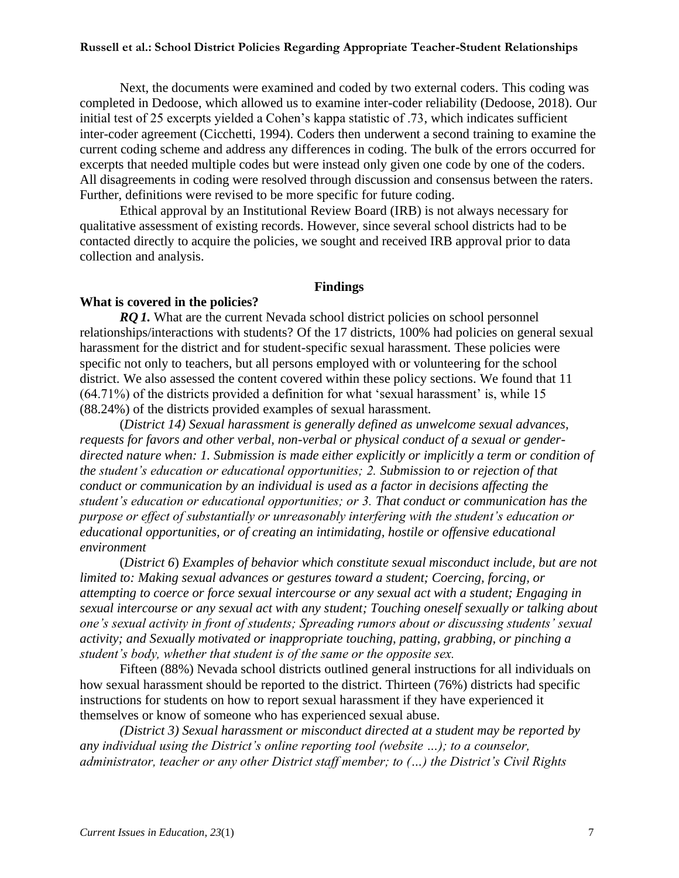Next, the documents were examined and coded by two external coders. This coding was completed in Dedoose, which allowed us to examine inter-coder reliability (Dedoose, 2018). Our initial test of 25 excerpts yielded a Cohen's kappa statistic of .73, which indicates sufficient inter-coder agreement (Cicchetti, 1994). Coders then underwent a second training to examine the current coding scheme and address any differences in coding. The bulk of the errors occurred for excerpts that needed multiple codes but were instead only given one code by one of the coders. All disagreements in coding were resolved through discussion and consensus between the raters. Further, definitions were revised to be more specific for future coding.

Ethical approval by an Institutional Review Board (IRB) is not always necessary for qualitative assessment of existing records. However, since several school districts had to be contacted directly to acquire the policies, we sought and received IRB approval prior to data collection and analysis.

#### **Findings**

#### **What is covered in the policies?**

*RQ* 1. What are the current Nevada school district policies on school personnel relationships/interactions with students? Of the 17 districts, 100% had policies on general sexual harassment for the district and for student-specific sexual harassment. These policies were specific not only to teachers, but all persons employed with or volunteering for the school district. We also assessed the content covered within these policy sections. We found that 11 (64.71%) of the districts provided a definition for what 'sexual harassment' is, while 15 (88.24%) of the districts provided examples of sexual harassment.

(*District 14) Sexual harassment is generally defined as unwelcome sexual advances, requests for favors and other verbal, non-verbal or physical conduct of a sexual or genderdirected nature when: 1. Submission is made either explicitly or implicitly a term or condition of the student's education or educational opportunities; 2. Submission to or rejection of that conduct or communication by an individual is used as a factor in decisions affecting the student's education or educational opportunities; or 3. That conduct or communication has the purpose or effect of substantially or unreasonably interfering with the student's education or educational opportunities, or of creating an intimidating, hostile or offensive educational environment*

(*District 6*) *Examples of behavior which constitute sexual misconduct include, but are not limited to: Making sexual advances or gestures toward a student; Coercing, forcing, or attempting to coerce or force sexual intercourse or any sexual act with a student; Engaging in sexual intercourse or any sexual act with any student; Touching oneself sexually or talking about one's sexual activity in front of students; Spreading rumors about or discussing students' sexual activity; and Sexually motivated or inappropriate touching, patting, grabbing, or pinching a student's body, whether that student is of the same or the opposite sex.*

Fifteen (88%) Nevada school districts outlined general instructions for all individuals on how sexual harassment should be reported to the district. Thirteen (76%) districts had specific instructions for students on how to report sexual harassment if they have experienced it themselves or know of someone who has experienced sexual abuse.

*(District 3) Sexual harassment or misconduct directed at a student may be reported by any individual using the District's online reporting tool (website …); to a counselor, administrator, teacher or any other District staff member; to (…) the District's Civil Rights*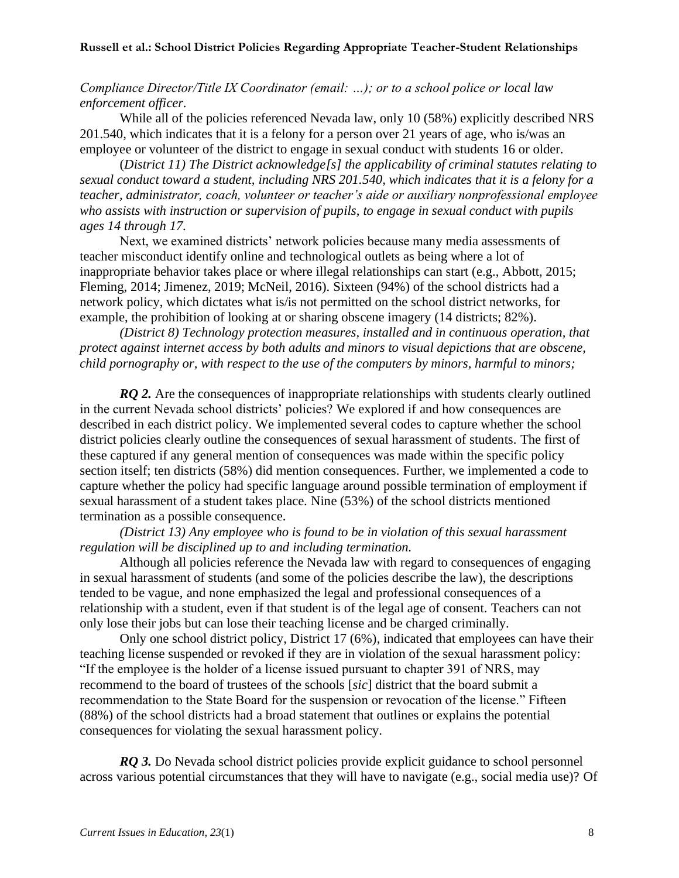*Compliance Director/Title IX Coordinator (email: …); or to a school police or local law enforcement officer.*

While all of the policies referenced Nevada law, only 10 (58%) explicitly described NRS 201.540, which indicates that it is a felony for a person over 21 years of age, who is/was an employee or volunteer of the district to engage in sexual conduct with students 16 or older.

(*District 11) The District acknowledge[s] the applicability of criminal statutes relating to sexual conduct toward a student, including NRS 201.540, which indicates that it is a felony for a teacher, administrator, coach, volunteer or teacher's aide or auxiliary nonprofessional employee who assists with instruction or supervision of pupils, to engage in sexual conduct with pupils ages 14 through 17.* 

Next, we examined districts' network policies because many media assessments of teacher misconduct identify online and technological outlets as being where a lot of inappropriate behavior takes place or where illegal relationships can start (e.g., Abbott, 2015; Fleming, 2014; Jimenez, 2019; McNeil, 2016). Sixteen (94%) of the school districts had a network policy, which dictates what is/is not permitted on the school district networks, for example, the prohibition of looking at or sharing obscene imagery (14 districts; 82%).

*(District 8) Technology protection measures, installed and in continuous operation, that protect against internet access by both adults and minors to visual depictions that are obscene, child pornography or, with respect to the use of the computers by minors, harmful to minors;*

*RQ 2.* Are the consequences of inappropriate relationships with students clearly outlined in the current Nevada school districts' policies? We explored if and how consequences are described in each district policy. We implemented several codes to capture whether the school district policies clearly outline the consequences of sexual harassment of students. The first of these captured if any general mention of consequences was made within the specific policy section itself; ten districts (58%) did mention consequences. Further, we implemented a code to capture whether the policy had specific language around possible termination of employment if sexual harassment of a student takes place. Nine (53%) of the school districts mentioned termination as a possible consequence.

*(District 13) Any employee who is found to be in violation of this sexual harassment regulation will be disciplined up to and including termination.*

Although all policies reference the Nevada law with regard to consequences of engaging in sexual harassment of students (and some of the policies describe the law), the descriptions tended to be vague, and none emphasized the legal and professional consequences of a relationship with a student, even if that student is of the legal age of consent. Teachers can not only lose their jobs but can lose their teaching license and be charged criminally.

Only one school district policy, District 17 (6%), indicated that employees can have their teaching license suspended or revoked if they are in violation of the sexual harassment policy: "If the employee is the holder of a license issued pursuant to chapter 391 of NRS, may recommend to the board of trustees of the schools [*sic*] district that the board submit a recommendation to the State Board for the suspension or revocation of the license." Fifteen (88%) of the school districts had a broad statement that outlines or explains the potential consequences for violating the sexual harassment policy.

*RQ* 3. Do Nevada school district policies provide explicit guidance to school personnel across various potential circumstances that they will have to navigate (e.g., social media use)? Of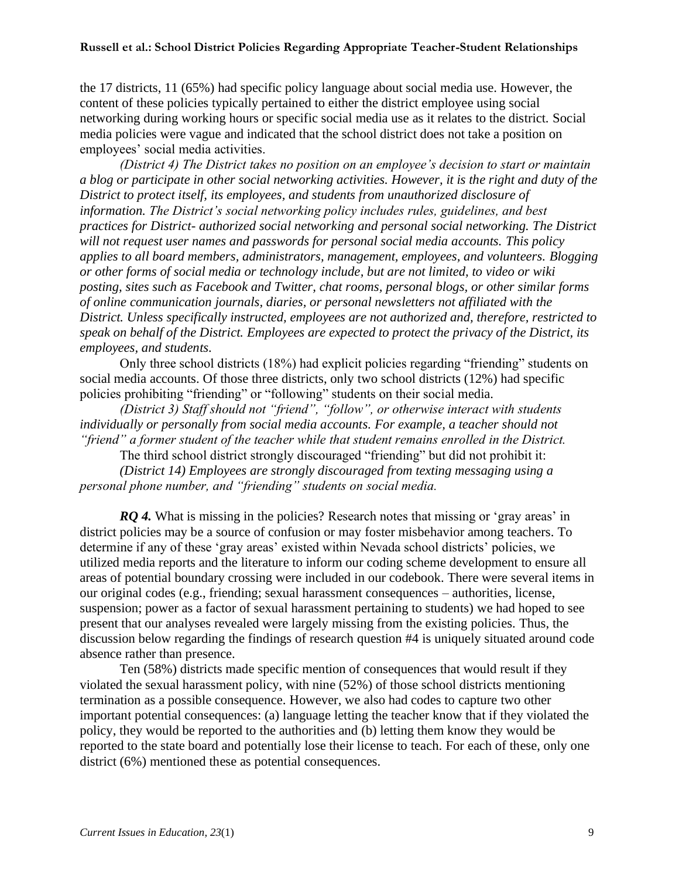the 17 districts, 11 (65%) had specific policy language about social media use. However, the content of these policies typically pertained to either the district employee using social networking during working hours or specific social media use as it relates to the district. Social media policies were vague and indicated that the school district does not take a position on employees' social media activities.

*(District 4) The District takes no position on an employee's decision to start or maintain a blog or participate in other social networking activities. However, it is the right and duty of the District to protect itself, its employees, and students from unauthorized disclosure of information. The District's social networking policy includes rules, guidelines, and best practices for District- authorized social networking and personal social networking. The District will not request user names and passwords for personal social media accounts. This policy applies to all board members, administrators, management, employees, and volunteers. Blogging or other forms of social media or technology include, but are not limited, to video or wiki posting, sites such as Facebook and Twitter, chat rooms, personal blogs, or other similar forms of online communication journals, diaries, or personal newsletters not affiliated with the District. Unless specifically instructed, employees are not authorized and, therefore, restricted to speak on behalf of the District. Employees are expected to protect the privacy of the District, its employees, and students.* 

Only three school districts (18%) had explicit policies regarding "friending" students on social media accounts. Of those three districts, only two school districts (12%) had specific policies prohibiting "friending" or "following" students on their social media.

*(District 3) Staff should not "friend", "follow", or otherwise interact with students individually or personally from social media accounts. For example, a teacher should not "friend" a former student of the teacher while that student remains enrolled in the District.* 

The third school district strongly discouraged "friending" but did not prohibit it: *(District 14) Employees are strongly discouraged from texting messaging using a personal phone number, and "friending" students on social media.* 

*RQ 4.* What is missing in the policies? Research notes that missing or 'gray areas' in district policies may be a source of confusion or may foster misbehavior among teachers. To determine if any of these 'gray areas' existed within Nevada school districts' policies, we utilized media reports and the literature to inform our coding scheme development to ensure all areas of potential boundary crossing were included in our codebook. There were several items in our original codes (e.g., friending; sexual harassment consequences – authorities, license, suspension; power as a factor of sexual harassment pertaining to students) we had hoped to see present that our analyses revealed were largely missing from the existing policies. Thus, the discussion below regarding the findings of research question #4 is uniquely situated around code absence rather than presence.

Ten (58%) districts made specific mention of consequences that would result if they violated the sexual harassment policy, with nine (52%) of those school districts mentioning termination as a possible consequence. However, we also had codes to capture two other important potential consequences: (a) language letting the teacher know that if they violated the policy, they would be reported to the authorities and (b) letting them know they would be reported to the state board and potentially lose their license to teach. For each of these, only one district (6%) mentioned these as potential consequences.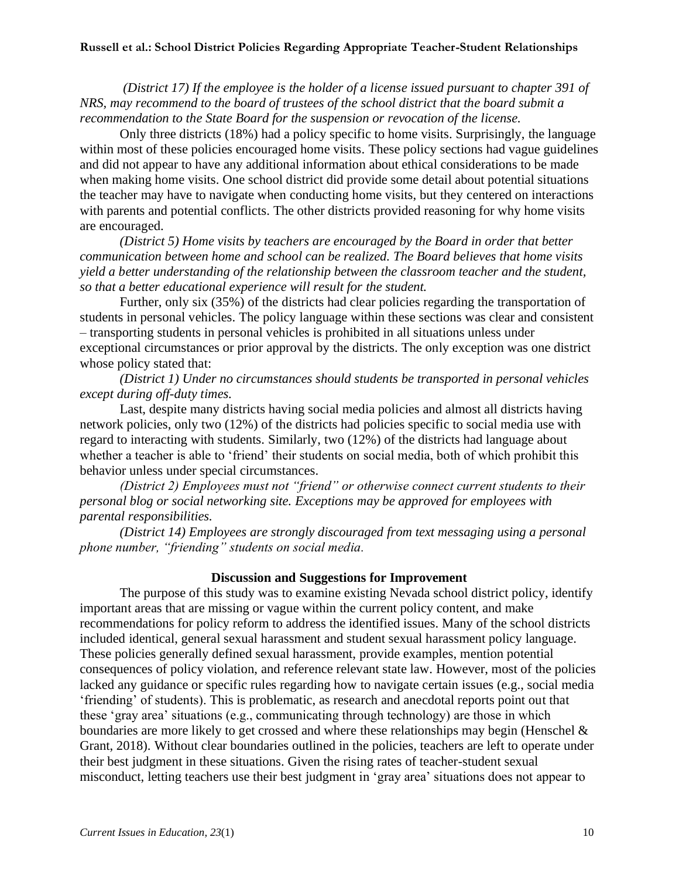*(District 17) If the employee is the holder of a license issued pursuant to chapter 391 of NRS, may recommend to the board of trustees of the school district that the board submit a recommendation to the State Board for the suspension or revocation of the license.*

Only three districts (18%) had a policy specific to home visits. Surprisingly, the language within most of these policies encouraged home visits. These policy sections had vague guidelines and did not appear to have any additional information about ethical considerations to be made when making home visits. One school district did provide some detail about potential situations the teacher may have to navigate when conducting home visits, but they centered on interactions with parents and potential conflicts. The other districts provided reasoning for why home visits are encouraged.

*(District 5) Home visits by teachers are encouraged by the Board in order that better communication between home and school can be realized. The Board believes that home visits yield a better understanding of the relationship between the classroom teacher and the student, so that a better educational experience will result for the student.*

Further, only six (35%) of the districts had clear policies regarding the transportation of students in personal vehicles. The policy language within these sections was clear and consistent – transporting students in personal vehicles is prohibited in all situations unless under exceptional circumstances or prior approval by the districts. The only exception was one district whose policy stated that:

*(District 1) Under no circumstances should students be transported in personal vehicles except during off-duty times.*

Last, despite many districts having social media policies and almost all districts having network policies, only two (12%) of the districts had policies specific to social media use with regard to interacting with students. Similarly, two (12%) of the districts had language about whether a teacher is able to 'friend' their students on social media, both of which prohibit this behavior unless under special circumstances.

*(District 2) Employees must not "friend" or otherwise connect current students to their personal blog or social networking site. Exceptions may be approved for employees with parental responsibilities.*

*(District 14) Employees are strongly discouraged from text messaging using a personal phone number, "friending" students on social media.*

#### **Discussion and Suggestions for Improvement**

The purpose of this study was to examine existing Nevada school district policy, identify important areas that are missing or vague within the current policy content, and make recommendations for policy reform to address the identified issues. Many of the school districts included identical, general sexual harassment and student sexual harassment policy language. These policies generally defined sexual harassment, provide examples, mention potential consequences of policy violation, and reference relevant state law. However, most of the policies lacked any guidance or specific rules regarding how to navigate certain issues (e.g., social media 'friending' of students). This is problematic, as research and anecdotal reports point out that these 'gray area' situations (e.g., communicating through technology) are those in which boundaries are more likely to get crossed and where these relationships may begin (Henschel & Grant, 2018). Without clear boundaries outlined in the policies, teachers are left to operate under their best judgment in these situations. Given the rising rates of teacher-student sexual misconduct, letting teachers use their best judgment in 'gray area' situations does not appear to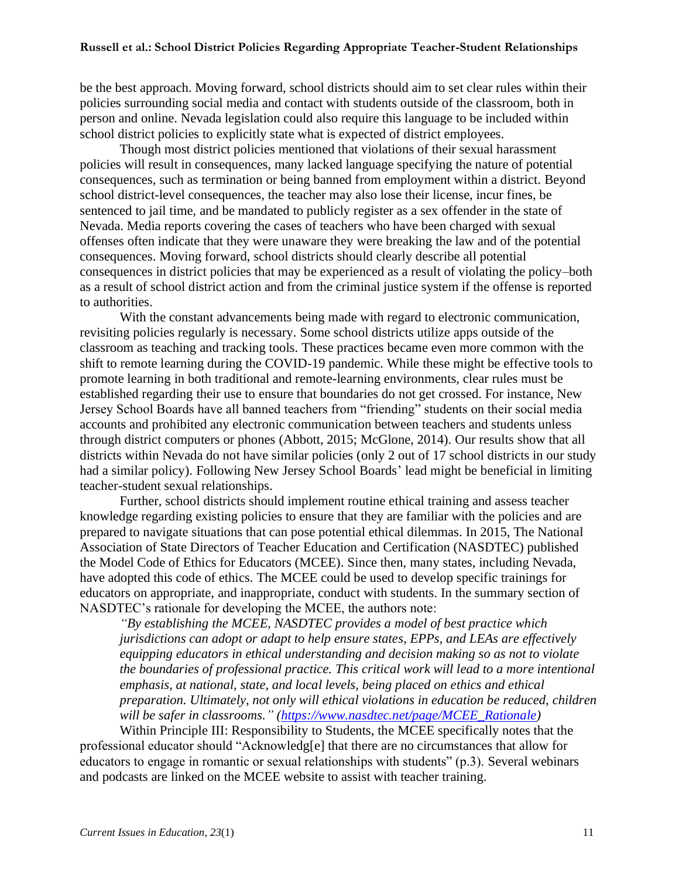be the best approach. Moving forward, school districts should aim to set clear rules within their policies surrounding social media and contact with students outside of the classroom, both in person and online. Nevada legislation could also require this language to be included within school district policies to explicitly state what is expected of district employees.

Though most district policies mentioned that violations of their sexual harassment policies will result in consequences, many lacked language specifying the nature of potential consequences, such as termination or being banned from employment within a district. Beyond school district-level consequences, the teacher may also lose their license, incur fines, be sentenced to jail time, and be mandated to publicly register as a sex offender in the state of Nevada. Media reports covering the cases of teachers who have been charged with sexual offenses often indicate that they were unaware they were breaking the law and of the potential consequences. Moving forward, school districts should clearly describe all potential consequences in district policies that may be experienced as a result of violating the policy–both as a result of school district action and from the criminal justice system if the offense is reported to authorities.

With the constant advancements being made with regard to electronic communication, revisiting policies regularly is necessary. Some school districts utilize apps outside of the classroom as teaching and tracking tools. These practices became even more common with the shift to remote learning during the COVID-19 pandemic. While these might be effective tools to promote learning in both traditional and remote-learning environments, clear rules must be established regarding their use to ensure that boundaries do not get crossed. For instance, New Jersey School Boards have all banned teachers from "friending" students on their social media accounts and prohibited any electronic communication between teachers and students unless through district computers or phones (Abbott, 2015; McGlone, 2014). Our results show that all districts within Nevada do not have similar policies (only 2 out of 17 school districts in our study had a similar policy). Following New Jersey School Boards' lead might be beneficial in limiting teacher-student sexual relationships.

Further, school districts should implement routine ethical training and assess teacher knowledge regarding existing policies to ensure that they are familiar with the policies and are prepared to navigate situations that can pose potential ethical dilemmas. In 2015, The National Association of State Directors of Teacher Education and Certification (NASDTEC) published the Model Code of Ethics for Educators (MCEE). Since then, many states, including Nevada, have adopted this code of ethics. The MCEE could be used to develop specific trainings for educators on appropriate, and inappropriate, conduct with students. In the summary section of NASDTEC's rationale for developing the MCEE, the authors note:

*"By establishing the MCEE, NASDTEC provides a model of best practice which jurisdictions can adopt or adapt to help ensure states, EPPs, and LEAs are effectively equipping educators in ethical understanding and decision making so as not to violate the boundaries of professional practice. This critical work will lead to a more intentional emphasis, at national, state, and local levels, being placed on ethics and ethical preparation. Ultimately, not only will ethical violations in education be reduced, children will be safer in classrooms." [\(https://www.nasdtec.net/page/MCEE\\_Rationale\)](https://www.nasdtec.net/page/MCEE_Rationale)* 

Within Principle III: Responsibility to Students, the MCEE specifically notes that the professional educator should "Acknowledg[e] that there are no circumstances that allow for educators to engage in romantic or sexual relationships with students" (p.3). Several webinars and podcasts are linked on the MCEE website to assist with teacher training.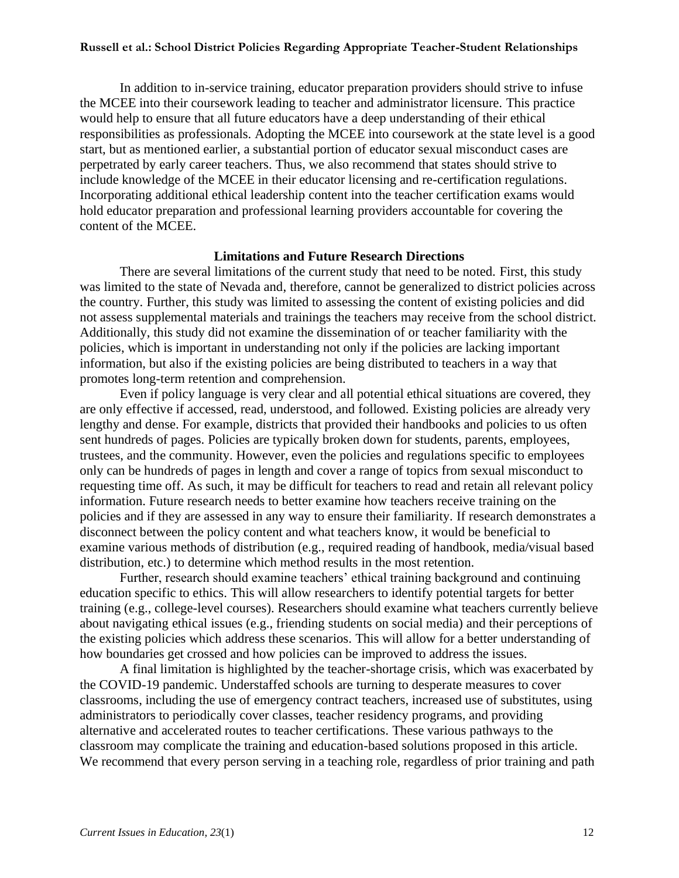In addition to in-service training, educator preparation providers should strive to infuse the MCEE into their coursework leading to teacher and administrator licensure. This practice would help to ensure that all future educators have a deep understanding of their ethical responsibilities as professionals. Adopting the MCEE into coursework at the state level is a good start, but as mentioned earlier, a substantial portion of educator sexual misconduct cases are perpetrated by early career teachers. Thus, we also recommend that states should strive to include knowledge of the MCEE in their educator licensing and re-certification regulations. Incorporating additional ethical leadership content into the teacher certification exams would hold educator preparation and professional learning providers accountable for covering the content of the MCEE.

#### **Limitations and Future Research Directions**

There are several limitations of the current study that need to be noted. First, this study was limited to the state of Nevada and, therefore, cannot be generalized to district policies across the country. Further, this study was limited to assessing the content of existing policies and did not assess supplemental materials and trainings the teachers may receive from the school district. Additionally, this study did not examine the dissemination of or teacher familiarity with the policies, which is important in understanding not only if the policies are lacking important information, but also if the existing policies are being distributed to teachers in a way that promotes long-term retention and comprehension.

Even if policy language is very clear and all potential ethical situations are covered, they are only effective if accessed, read, understood, and followed. Existing policies are already very lengthy and dense. For example, districts that provided their handbooks and policies to us often sent hundreds of pages. Policies are typically broken down for students, parents, employees, trustees, and the community. However, even the policies and regulations specific to employees only can be hundreds of pages in length and cover a range of topics from sexual misconduct to requesting time off. As such, it may be difficult for teachers to read and retain all relevant policy information. Future research needs to better examine how teachers receive training on the policies and if they are assessed in any way to ensure their familiarity. If research demonstrates a disconnect between the policy content and what teachers know, it would be beneficial to examine various methods of distribution (e.g., required reading of handbook, media/visual based distribution, etc.) to determine which method results in the most retention.

Further, research should examine teachers' ethical training background and continuing education specific to ethics. This will allow researchers to identify potential targets for better training (e.g., college-level courses). Researchers should examine what teachers currently believe about navigating ethical issues (e.g., friending students on social media) and their perceptions of the existing policies which address these scenarios. This will allow for a better understanding of how boundaries get crossed and how policies can be improved to address the issues.

A final limitation is highlighted by the teacher-shortage crisis, which was exacerbated by the COVID-19 pandemic. Understaffed schools are turning to desperate measures to cover classrooms, including the use of emergency contract teachers, increased use of substitutes, using administrators to periodically cover classes, teacher residency programs, and providing alternative and accelerated routes to teacher certifications. These various pathways to the classroom may complicate the training and education-based solutions proposed in this article. We recommend that every person serving in a teaching role, regardless of prior training and path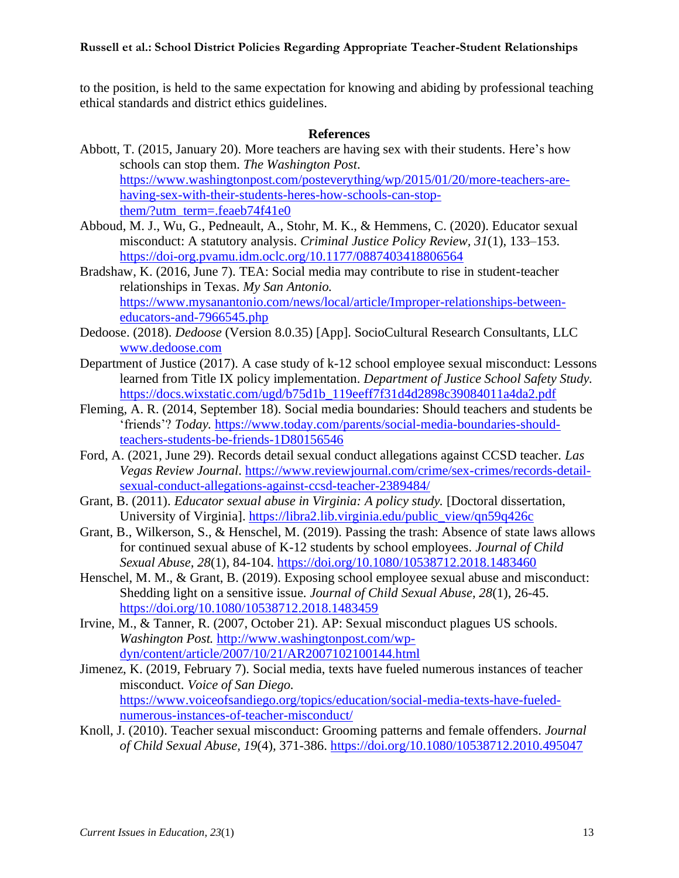to the position, is held to the same expectation for knowing and abiding by professional teaching ethical standards and district ethics guidelines.

#### **References**

- Abbott, T. (2015, January 20). More teachers are having sex with their students. Here's how schools can stop them. *The Washington Post*. [https://www.washingtonpost.com/posteverything/wp/2015/01/20/more-teachers-are](https://www.washingtonpost.com/posteverything/wp/2015/01/20/more-teachers-are-having-sex-with-their-students-heres-how-schools-can-stop-them/?utm_term=.feaeb74f41e0)[having-sex-with-their-students-heres-how-schools-can-stop](https://www.washingtonpost.com/posteverything/wp/2015/01/20/more-teachers-are-having-sex-with-their-students-heres-how-schools-can-stop-them/?utm_term=.feaeb74f41e0)[them/?utm\\_term=.feaeb74f41e0](https://www.washingtonpost.com/posteverything/wp/2015/01/20/more-teachers-are-having-sex-with-their-students-heres-how-schools-can-stop-them/?utm_term=.feaeb74f41e0)
- Abboud, M. J., Wu, G., Pedneault, A., Stohr, M. K., & Hemmens, C. (2020). Educator sexual misconduct: A statutory analysis. *Criminal Justice Policy Review, 31*(1), 133–153. <https://doi-org.pvamu.idm.oclc.org/10.1177/0887403418806564>
- Bradshaw, K. (2016, June 7). TEA: Social media may contribute to rise in student-teacher relationships in Texas. *My San Antonio.* [https://www.mysanantonio.com/news/local/article/Improper-relationships-between](https://www.mysanantonio.com/news/local/article/Improper-relationships-between-educators-and-7966545.php)[educators-and-7966545.php](https://www.mysanantonio.com/news/local/article/Improper-relationships-between-educators-and-7966545.php)
- Dedoose. (2018). *Dedoose* (Version 8.0.35) [App]. SocioCultural Research Consultants, LLC [www.dedoose.com](http://www.dedoose.com/)
- Department of Justice (2017). A case study of k-12 school employee sexual misconduct: Lessons learned from Title IX policy implementation. *Department of Justice School Safety Study.* [https://docs.wixstatic.com/ugd/b75d1b\\_119eeff7f31d4d2898c39084011a4da2.pdf](https://docs.wixstatic.com/ugd/b75d1b_119eeff7f31d4d2898c39084011a4da2.pdf)
- Fleming, A. R. (2014, September 18). Social media boundaries: Should teachers and students be 'friends'? *Today.* [https://www.today.com/parents/social-media-boundaries-should](https://www.today.com/parents/social-media-boundaries-should-teachers-students-be-friends-1D80156546)[teachers-students-be-friends-1D80156546](https://www.today.com/parents/social-media-boundaries-should-teachers-students-be-friends-1D80156546)
- Ford, A. (2021, June 29). Records detail sexual conduct allegations against CCSD teacher. *Las Vegas Review Journal*. [https://www.reviewjournal.com/crime/sex-crimes/records-detail](https://www.reviewjournal.com/crime/sex-crimes/records-detail-sexual-conduct-allegations-against-ccsd-teacher-2389484/)[sexual-conduct-allegations-against-ccsd-teacher-2389484/](https://www.reviewjournal.com/crime/sex-crimes/records-detail-sexual-conduct-allegations-against-ccsd-teacher-2389484/)
- Grant, B. (2011). *Educator sexual abuse in Virginia: A policy study.* [Doctoral dissertation, University of Virginia]. [https://libra2.lib.virginia.edu/public\\_view/qn59q426c](https://libra2.lib.virginia.edu/public_view/qn59q426c)
- Grant, B., Wilkerson, S., & Henschel, M. (2019). Passing the trash: Absence of state laws allows for continued sexual abuse of K-12 students by school employees. *Journal of Child Sexual Abuse, 28*(1), 84-104. <https://doi.org/10.1080/10538712.2018.1483460>
- Henschel, M. M., & Grant, B. (2019). Exposing school employee sexual abuse and misconduct: Shedding light on a sensitive issue. *Journal of Child Sexual Abuse, 28*(1), 26-45. <https://doi.org/10.1080/10538712.2018.1483459>
- Irvine, M., & Tanner, R. (2007, October 21). AP: Sexual misconduct plagues US schools. *Washington Post.* [http://www.washingtonpost.com/wp](http://www.washingtonpost.com/wp-dyn/content/article/2007/10/21/AR2007102100144.html)[dyn/content/article/2007/10/21/AR2007102100144.html](http://www.washingtonpost.com/wp-dyn/content/article/2007/10/21/AR2007102100144.html)
- Jimenez, K. (2019, February 7). Social media, texts have fueled numerous instances of teacher misconduct. *Voice of San Diego.* [https://www.voiceofsandiego.org/topics/education/social-media-texts-have-fueled](https://www.voiceofsandiego.org/topics/education/social-media-texts-have-fueled-numerous-instances-of-teacher-misconduct/)[numerous-instances-of-teacher-misconduct/](https://www.voiceofsandiego.org/topics/education/social-media-texts-have-fueled-numerous-instances-of-teacher-misconduct/)
- Knoll, J. (2010). Teacher sexual misconduct: Grooming patterns and female offenders. *Journal of Child Sexual Abuse, 19*(4)*,* 371-386. <https://doi.org/10.1080/10538712.2010.495047>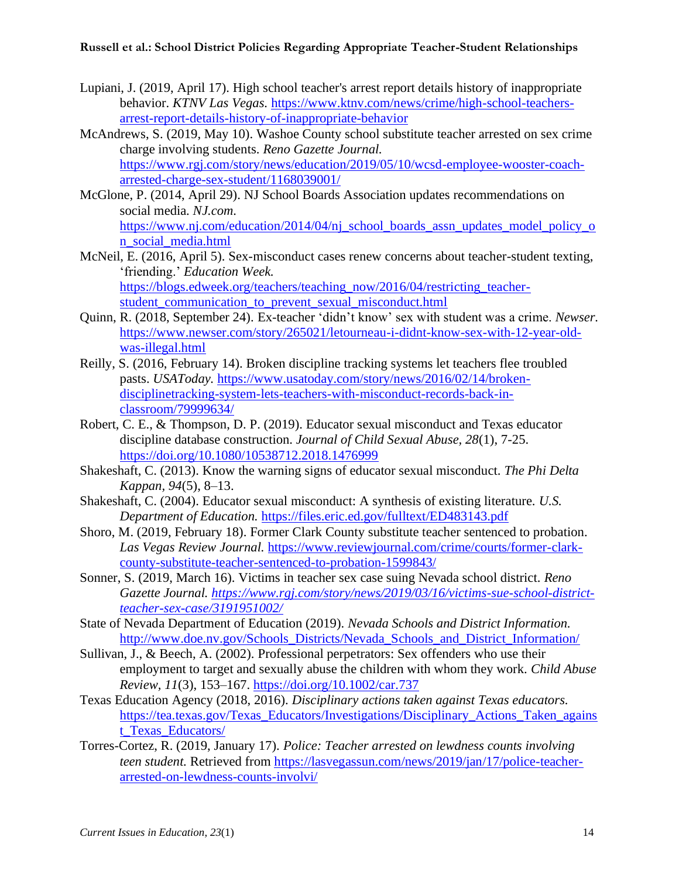- Lupiani, J. (2019, April 17). High school teacher's arrest report details history of inappropriate behavior. *KTNV Las Vegas.* [https://www.ktnv.com/news/crime/high-school-teachers](https://www.ktnv.com/news/crime/high-school-teachers-arrest-report-details-history-of-inappropriate-behavior)[arrest-report-details-history-of-inappropriate-behavior](https://www.ktnv.com/news/crime/high-school-teachers-arrest-report-details-history-of-inappropriate-behavior)
- McAndrews, S. (2019, May 10). Washoe County school substitute teacher arrested on sex crime charge involving students. *Reno Gazette Journal.* [https://www.rgj.com/story/news/education/2019/05/10/wcsd-employee-wooster-coach](https://www.rgj.com/story/news/education/2019/05/10/wcsd-employee-wooster-coach-arrested-charge-sex-student/1168039001/)[arrested-charge-sex-student/1168039001/](https://www.rgj.com/story/news/education/2019/05/10/wcsd-employee-wooster-coach-arrested-charge-sex-student/1168039001/)
- McGlone, P. (2014, April 29). NJ School Boards Association updates recommendations on social media. *NJ.com.*  [https://www.nj.com/education/2014/04/nj\\_school\\_boards\\_assn\\_updates\\_model\\_policy\\_o](https://www.nj.com/education/2014/04/nj_school_boards_assn_updates_model_policy_on_social_media.html)
- [n\\_social\\_media.html](https://www.nj.com/education/2014/04/nj_school_boards_assn_updates_model_policy_on_social_media.html) McNeil, E. (2016, April 5). Sex-misconduct cases renew concerns about teacher-student texting, 'friending.' *Education Week.*  [https://blogs.edweek.org/teachers/teaching\\_now/2016/04/restricting\\_teacher](https://blogs.edweek.org/teachers/teaching_now/2016/04/restricting_teacher-student_communication_to_prevent_sexual_misconduct.html)student communication to prevent sexual misconduct.html
- Quinn, R. (2018, September 24). Ex-teacher 'didn't know' sex with student was a crime. *Newser.*  [https://www.newser.com/story/265021/letourneau-i-didnt-know-sex-with-12-year-old](https://www.newser.com/story/265021/letourneau-i-didnt-know-sex-with-12-year-old-was-illegal.html)[was-illegal.html](https://www.newser.com/story/265021/letourneau-i-didnt-know-sex-with-12-year-old-was-illegal.html)
- Reilly, S. (2016, February 14). Broken discipline tracking systems let teachers flee troubled pasts. *USAToday.* [https://www.usatoday.com/story/news/2016/02/14/broken](https://www.usatoday.com/story/news/2016/02/14/broken-disciplinetracking-system-lets-teachers-with-misconduct-records-back-in-classroom/79999634/)[disciplinetracking-system-lets-teachers-with-misconduct-records-back-in](https://www.usatoday.com/story/news/2016/02/14/broken-disciplinetracking-system-lets-teachers-with-misconduct-records-back-in-classroom/79999634/)[classroom/79999634/](https://www.usatoday.com/story/news/2016/02/14/broken-disciplinetracking-system-lets-teachers-with-misconduct-records-back-in-classroom/79999634/)
- Robert, C. E., & Thompson, D. P. (2019). Educator sexual misconduct and Texas educator discipline database construction. *Journal of Child Sexual Abuse, 28*(1), 7-25. <https://doi.org/10.1080/10538712.2018.1476999>
- Shakeshaft, C. (2013). Know the warning signs of educator sexual misconduct. *The Phi Delta Kappan, 94*(5), 8–13.
- Shakeshaft, C. (2004). Educator sexual misconduct: A synthesis of existing literature. *U.S. Department of Education.* <https://files.eric.ed.gov/fulltext/ED483143.pdf>
- Shoro, M. (2019, February 18). Former Clark County substitute teacher sentenced to probation. *Las Vegas Review Journal.* [https://www.reviewjournal.com/crime/courts/former-clark](https://www.reviewjournal.com/crime/courts/former-clark-county-substitute-teacher-sentenced-to-probation-1599843/)[county-substitute-teacher-sentenced-to-probation-1599843/](https://www.reviewjournal.com/crime/courts/former-clark-county-substitute-teacher-sentenced-to-probation-1599843/)
- Sonner, S. (2019, March 16). Victims in teacher sex case suing Nevada school district. *Reno Gazette Journal. [https://www.rgj.com/story/news/2019/03/16/victims-sue-school-district](https://www.rgj.com/story/news/2019/03/16/victims-sue-school-district-teacher-sex-case/3191951002/)[teacher-sex-case/3191951002/](https://www.rgj.com/story/news/2019/03/16/victims-sue-school-district-teacher-sex-case/3191951002/)*
- State of Nevada Department of Education (2019). *Nevada Schools and District Information.* [http://www.doe.nv.gov/Schools\\_Districts/Nevada\\_Schools\\_and\\_District\\_Information/](http://www.doe.nv.gov/Schools_Districts/Nevada_Schools_and_District_Information/)
- Sullivan, J., & Beech, A. (2002). Professional perpetrators: Sex offenders who use their employment to target and sexually abuse the children with whom they work. *Child Abuse Review, 11*(3), 153–167. <https://doi.org/10.1002/car.737>
- Texas Education Agency (2018, 2016). *Disciplinary actions taken against Texas educators.* [https://tea.texas.gov/Texas\\_Educators/Investigations/Disciplinary\\_Actions\\_Taken\\_agains](https://tea.texas.gov/Texas_Educators/Investigations/Disciplinary_Actions_Taken_against_Texas_Educators/) t Texas Educators/
- Torres-Cortez, R. (2019, January 17). *Police: Teacher arrested on lewdness counts involving teen student.* Retrieved from [https://lasvegassun.com/news/2019/jan/17/police-teacher](https://lasvegassun.com/news/2019/jan/17/police-teacher-arrested-on-lewdness-counts-involvi/)[arrested-on-lewdness-counts-involvi/](https://lasvegassun.com/news/2019/jan/17/police-teacher-arrested-on-lewdness-counts-involvi/)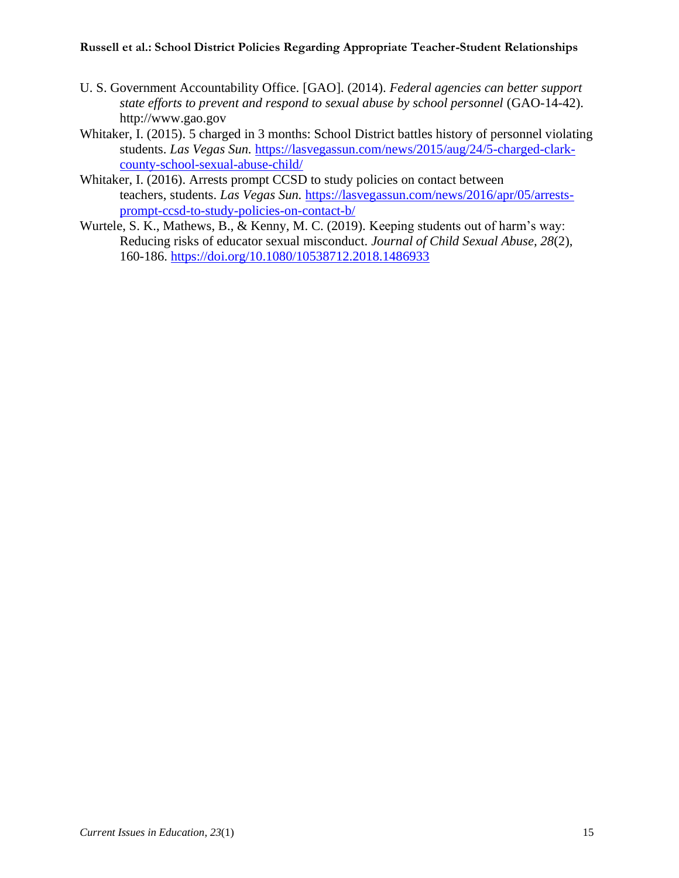- U. S. Government Accountability Office. [GAO]. (2014). *Federal agencies can better support state efforts to prevent and respond to sexual abuse by school personnel* (GAO-14-42). http://www.gao.gov
- Whitaker, I. (2015). 5 charged in 3 months: School District battles history of personnel violating students. *Las Vegas Sun.* [https://lasvegassun.com/news/2015/aug/24/5-charged-clark](https://lasvegassun.com/news/2015/aug/24/5-charged-clark-county-school-sexual-abuse-child/)[county-school-sexual-abuse-child/](https://lasvegassun.com/news/2015/aug/24/5-charged-clark-county-school-sexual-abuse-child/)
- Whitaker, I. (2016). Arrests prompt CCSD to study policies on contact between teachers, students. *Las Vegas Sun.* [https://lasvegassun.com/news/2016/apr/05/arrests](https://lasvegassun.com/news/2016/apr/05/arrests-prompt-ccsd-to-study-policies-on-contact-b/)[prompt-ccsd-to-study-policies-on-contact-b/](https://lasvegassun.com/news/2016/apr/05/arrests-prompt-ccsd-to-study-policies-on-contact-b/)
- Wurtele, S. K., Mathews, B., & Kenny, M. C. (2019). Keeping students out of harm's way: Reducing risks of educator sexual misconduct. *Journal of Child Sexual Abuse, 28*(2), 160-186. <https://doi.org/10.1080/10538712.2018.1486933>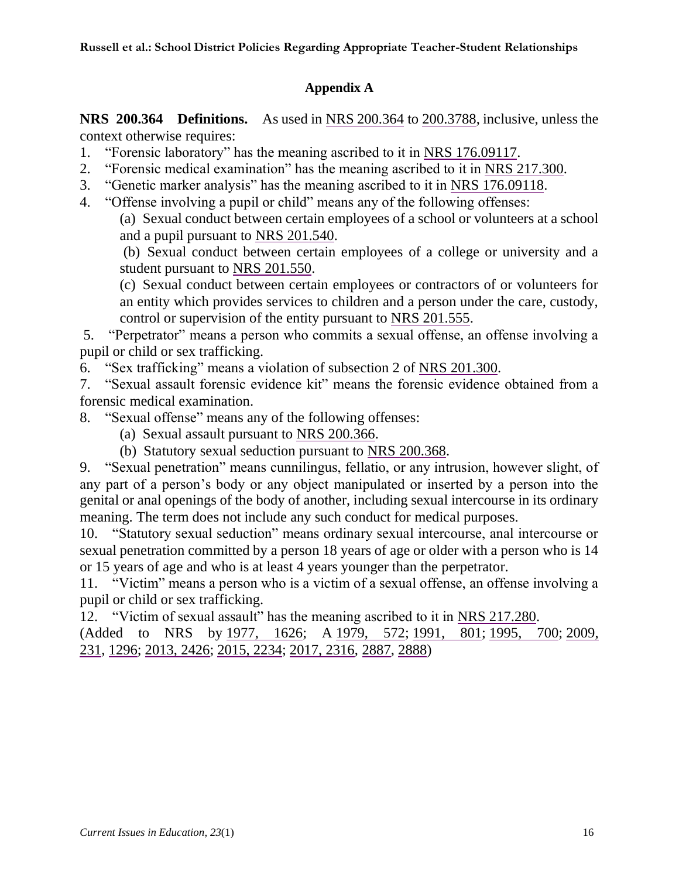### **Appendix A**

**NRS 200.364 Definitions.** As used in [NRS 200.364](https://www.leg.state.nv.us/nrs/nrs-200.html#NRS200Sec364) to [200.3788,](https://www.leg.state.nv.us/nrs/nrs-200.html#NRS200Sec3788) inclusive, unless the context otherwise requires:

- 1. "Forensic laboratory" has the meaning ascribed to it in [NRS 176.09117.](https://www.leg.state.nv.us/NRS/NRS-176.html#NRS176Sec09117)
- 2. "Forensic medical examination" has the meaning ascribed to it in [NRS 217.300.](https://www.leg.state.nv.us/NRS/NRS-217.html#NRS217Sec300)
- 3. "Genetic marker analysis" has the meaning ascribed to it in [NRS 176.09118.](https://www.leg.state.nv.us/NRS/NRS-176.html#NRS176Sec09118)
- 4. "Offense involving a pupil or child" means any of the following offenses:

(a) Sexual conduct between certain employees of a school or volunteers at a school and a pupil pursuant to [NRS 201.540.](https://www.leg.state.nv.us/NRS/NRS-201.html#NRS201Sec540)

(b) Sexual conduct between certain employees of a college or university and a student pursuant to [NRS 201.550.](https://www.leg.state.nv.us/NRS/NRS-201.html#NRS201Sec550)

(c) Sexual conduct between certain employees or contractors of or volunteers for an entity which provides services to children and a person under the care, custody, control or supervision of the entity pursuant to [NRS 201.555.](https://www.leg.state.nv.us/NRS/NRS-201.html#NRS201Sec555)

5. "Perpetrator" means a person who commits a sexual offense, an offense involving a pupil or child or sex trafficking.

6. "Sex trafficking" means a violation of subsection 2 of [NRS 201.300.](https://www.leg.state.nv.us/NRS/NRS-201.html#NRS201Sec300)

7. "Sexual assault forensic evidence kit" means the forensic evidence obtained from a forensic medical examination.

8. "Sexual offense" means any of the following offenses:

- (a) Sexual assault pursuant to [NRS 200.366.](https://www.leg.state.nv.us/nrs/nrs-200.html#NRS200Sec366)
- (b) Statutory sexual seduction pursuant to [NRS 200.368.](https://www.leg.state.nv.us/nrs/nrs-200.html#NRS200Sec368)

9. "Sexual penetration" means cunnilingus, fellatio, or any intrusion, however slight, of any part of a person's body or any object manipulated or inserted by a person into the genital or anal openings of the body of another, including sexual intercourse in its ordinary meaning. The term does not include any such conduct for medical purposes.

10. "Statutory sexual seduction" means ordinary sexual intercourse, anal intercourse or sexual penetration committed by a person 18 years of age or older with a person who is 14 or 15 years of age and who is at least 4 years younger than the perpetrator.

11. "Victim" means a person who is a victim of a sexual offense, an offense involving a pupil or child or sex trafficking.

12. "Victim of sexual assault" has the meaning ascribed to it in [NRS 217.280.](https://www.leg.state.nv.us/NRS/NRS-217.html#NRS217Sec280)

(Added to NRS by [1977, 1626;](https://www.leg.state.nv.us/Statutes/59th/Stats197707.html#Stats197707page1626) A [1979, 572;](https://www.leg.state.nv.us/Statutes/60th/Stats197903.html#Stats197903page572) [1991, 801;](https://www.leg.state.nv.us/Statutes/66th/Stats199104.html#Stats199104page801) [1995, 700;](https://www.leg.state.nv.us/Statutes/68th/Stats199504.html#Stats199504page700) [2009,](https://www.leg.state.nv.us/Statutes/75th2009/Stats200903.html#Stats200903page231)  [231,](https://www.leg.state.nv.us/Statutes/75th2009/Stats200903.html#Stats200903page231) [1296;](https://www.leg.state.nv.us/Statutes/75th2009/Stats200913.html#Stats200913page1296) [2013, 2426;](https://www.leg.state.nv.us/Statutes/77th2013/Stats201315.html#Stats201315page2426) [2015, 2234;](https://www.leg.state.nv.us/Statutes/78th2015/Stats201521.html#Stats201521page2234) [2017, 2316,](https://www.leg.state.nv.us/Statutes/79th2017/Stats201713.html#Stats201713page2316) [2887,](https://www.leg.state.nv.us/Statutes/79th2017/Stats201716.html#Stats201716page2887) [2888\)](https://www.leg.state.nv.us/Statutes/79th2017/Stats201716.html#Stats201716page2888)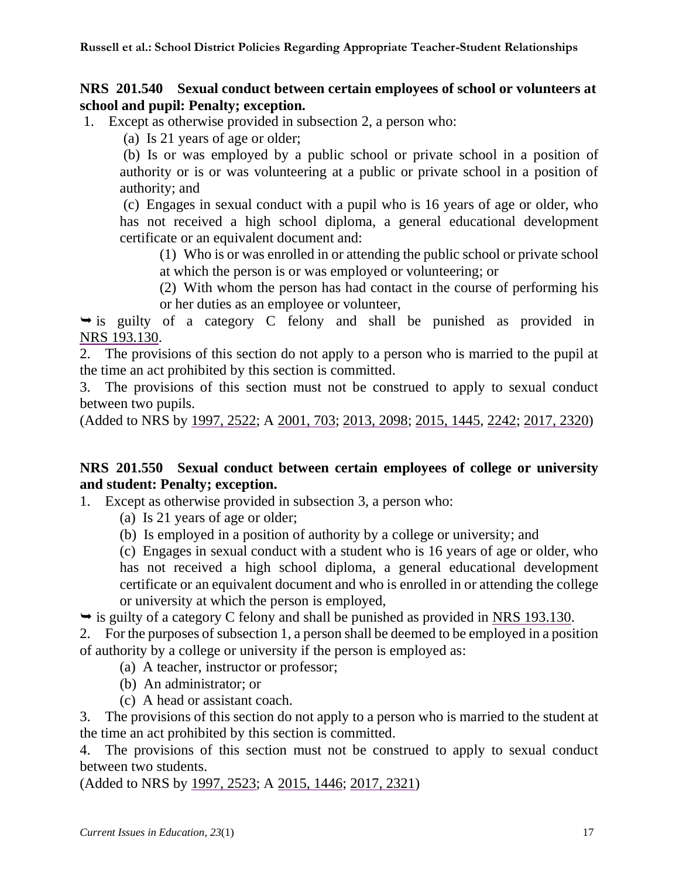### **NRS 201.540 Sexual conduct between certain employees of school or volunteers at school and pupil: Penalty; exception.**

1. Except as otherwise provided in subsection 2, a person who:

(a) Is 21 years of age or older;

(b) Is or was employed by a public school or private school in a position of authority or is or was volunteering at a public or private school in a position of authority; and

(c) Engages in sexual conduct with a pupil who is 16 years of age or older, who has not received a high school diploma, a general educational development certificate or an equivalent document and:

(1) Who is or was enrolled in or attending the public school or private school at which the person is or was employed or volunteering; or

(2) With whom the person has had contact in the course of performing his or her duties as an employee or volunteer,

 $\rightarrow$  is guilty of a category C felony and shall be punished as provided in [NRS 193.130.](https://www.leg.state.nv.us/NRS/NRS-193.html#NRS193Sec130)

2. The provisions of this section do not apply to a person who is married to the pupil at the time an act prohibited by this section is committed.

3. The provisions of this section must not be construed to apply to sexual conduct between two pupils.

(Added to NRS by [1997, 2522;](https://www.leg.state.nv.us/Statutes/69th/Stats199717.html#Stats199717page2522) A [2001, 703;](https://www.leg.state.nv.us/Statutes/71st/Stats200105.html#Stats200105page703) [2013, 2098;](https://www.leg.state.nv.us/Statutes/77th2013/Stats201313.html#Stats201313page2098) [2015, 1445,](https://www.leg.state.nv.us/Statutes/78th2015/Stats201513.html#Stats201513page1445) [2242;](https://www.leg.state.nv.us/Statutes/78th2015/Stats201521.html#Stats201521page2242) [2017, 2320\)](https://www.leg.state.nv.us/Statutes/79th2017/Stats201713.html#Stats201713page2320)

## **NRS 201.550 Sexual conduct between certain employees of college or university and student: Penalty; exception.**

1. Except as otherwise provided in subsection 3, a person who:

(a) Is 21 years of age or older;

(b) Is employed in a position of authority by a college or university; and

(c) Engages in sexual conduct with a student who is 16 years of age or older, who has not received a high school diploma, a general educational development certificate or an equivalent document and who is enrolled in or attending the college or university at which the person is employed,

 $\rightarrow$  is guilty of a category C felony and shall be punished as provided in [NRS 193.130.](https://www.leg.state.nv.us/NRS/NRS-193.html#NRS193Sec130)

2. For the purposes of subsection 1, a person shall be deemed to be employed in a position of authority by a college or university if the person is employed as:

(a) A teacher, instructor or professor;

- (b) An administrator; or
- (c) A head or assistant coach.

3. The provisions of this section do not apply to a person who is married to the student at the time an act prohibited by this section is committed.

4. The provisions of this section must not be construed to apply to sexual conduct between two students.

(Added to NRS by [1997, 2523;](https://www.leg.state.nv.us/Statutes/69th/Stats199717.html#Stats199717page2523) A [2015, 1446;](https://www.leg.state.nv.us/Statutes/78th2015/Stats201513.html#Stats201513page1446) [2017, 2321\)](https://www.leg.state.nv.us/Statutes/79th2017/Stats201713.html#Stats201713page2321)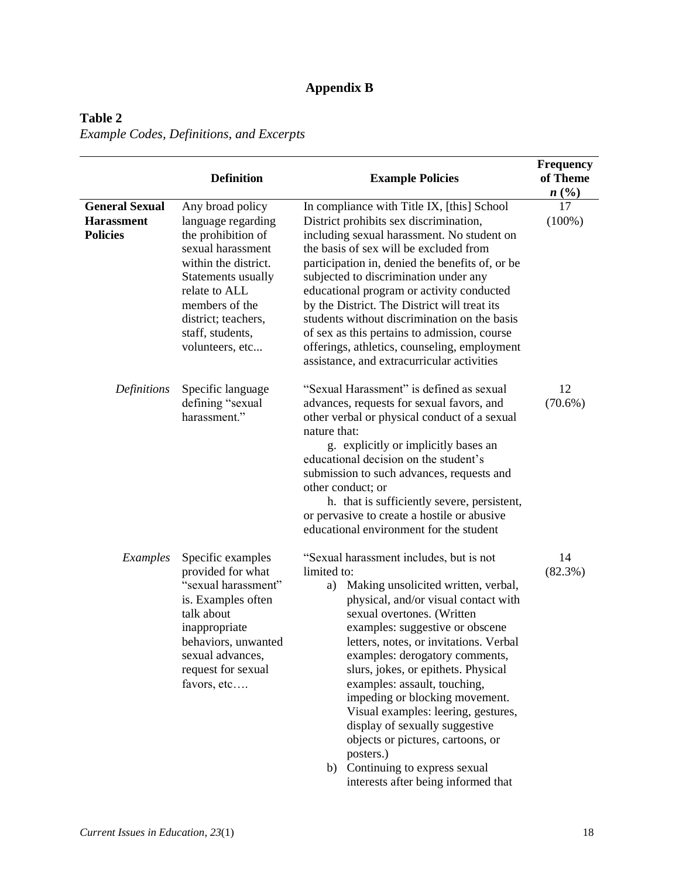## **Appendix B**

## **Table 2**  *Example Codes, Definitions, and Excerpts*

|                                                               | <b>Definition</b>                                                                                                                                                                                                                | <b>Example Policies</b>                                                                                                                                                                                                                                                                                                                                                                                                                                                                                                                                                                                | <b>Frequency</b><br>of Theme<br>n(%) |
|---------------------------------------------------------------|----------------------------------------------------------------------------------------------------------------------------------------------------------------------------------------------------------------------------------|--------------------------------------------------------------------------------------------------------------------------------------------------------------------------------------------------------------------------------------------------------------------------------------------------------------------------------------------------------------------------------------------------------------------------------------------------------------------------------------------------------------------------------------------------------------------------------------------------------|--------------------------------------|
| <b>General Sexual</b><br><b>Harassment</b><br><b>Policies</b> | Any broad policy<br>language regarding<br>the prohibition of<br>sexual harassment<br>within the district.<br>Statements usually<br>relate to ALL<br>members of the<br>district; teachers,<br>staff, students,<br>volunteers, etc | In compliance with Title IX, [this] School<br>District prohibits sex discrimination,<br>including sexual harassment. No student on<br>the basis of sex will be excluded from<br>participation in, denied the benefits of, or be<br>subjected to discrimination under any<br>educational program or activity conducted<br>by the District. The District will treat its<br>students without discrimination on the basis<br>of sex as this pertains to admission, course<br>offerings, athletics, counseling, employment<br>assistance, and extracurricular activities                                    | 17<br>$(100\%)$                      |
| Definitions                                                   | Specific language<br>defining "sexual<br>harassment."                                                                                                                                                                            | "Sexual Harassment" is defined as sexual<br>advances, requests for sexual favors, and<br>other verbal or physical conduct of a sexual<br>nature that:<br>g. explicitly or implicitly bases an<br>educational decision on the student's<br>submission to such advances, requests and<br>other conduct; or<br>h. that is sufficiently severe, persistent,<br>or pervasive to create a hostile or abusive<br>educational environment for the student                                                                                                                                                      | 12<br>$(70.6\%)$                     |
| Examples                                                      | Specific examples<br>provided for what<br>"sexual harassment"<br>is. Examples often<br>talk about<br>inappropriate<br>behaviors, unwanted<br>sexual advances,<br>request for sexual<br>favors, etc                               | "Sexual harassment includes, but is not<br>limited to:<br>Making unsolicited written, verbal,<br>a)<br>physical, and/or visual contact with<br>sexual overtones. (Written<br>examples: suggestive or obscene<br>letters, notes, or invitations. Verbal<br>examples: derogatory comments,<br>slurs, jokes, or epithets. Physical<br>examples: assault, touching,<br>impeding or blocking movement.<br>Visual examples: leering, gestures,<br>display of sexually suggestive<br>objects or pictures, cartoons, or<br>posters.)<br>b) Continuing to express sexual<br>interests after being informed that | 14<br>(82.3%)                        |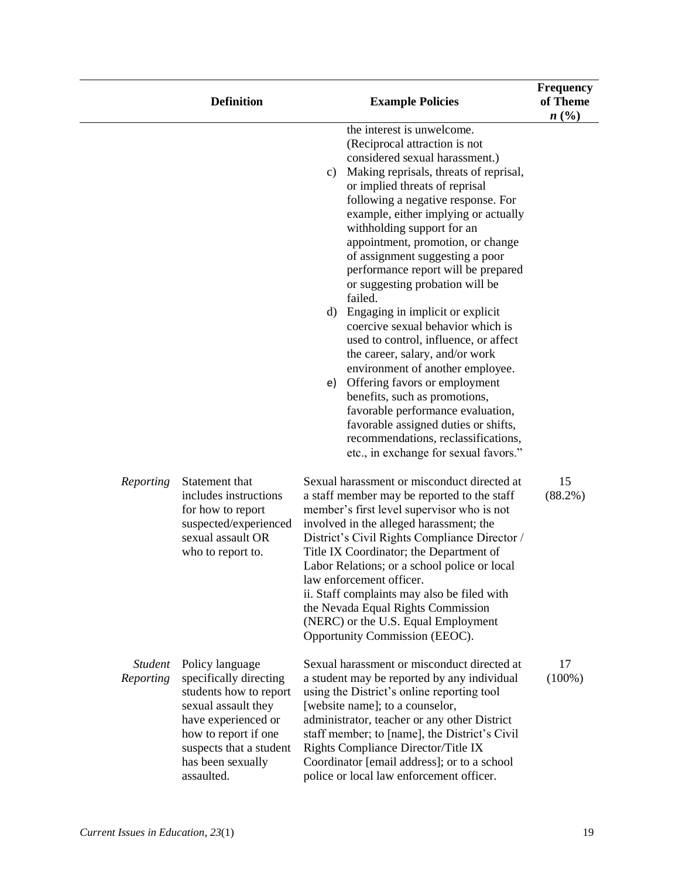|                             | <b>Definition</b>                                                                                                                                                                                       | <b>Example Policies</b>                                                                                                                                                                                                                                                                                                                                                                                                                                                                                                                                                                                                                                                                                                                                                                                                                                                                           | <b>Frequency</b><br>of Theme<br>n(%) |
|-----------------------------|---------------------------------------------------------------------------------------------------------------------------------------------------------------------------------------------------------|---------------------------------------------------------------------------------------------------------------------------------------------------------------------------------------------------------------------------------------------------------------------------------------------------------------------------------------------------------------------------------------------------------------------------------------------------------------------------------------------------------------------------------------------------------------------------------------------------------------------------------------------------------------------------------------------------------------------------------------------------------------------------------------------------------------------------------------------------------------------------------------------------|--------------------------------------|
|                             |                                                                                                                                                                                                         | the interest is unwelcome.<br>(Reciprocal attraction is not<br>considered sexual harassment.)<br>Making reprisals, threats of reprisal,<br>c)<br>or implied threats of reprisal<br>following a negative response. For<br>example, either implying or actually<br>withholding support for an<br>appointment, promotion, or change<br>of assignment suggesting a poor<br>performance report will be prepared<br>or suggesting probation will be<br>failed.<br>$\rm d$<br>Engaging in implicit or explicit<br>coercive sexual behavior which is<br>used to control, influence, or affect<br>the career, salary, and/or work<br>environment of another employee.<br>Offering favors or employment<br>e)<br>benefits, such as promotions,<br>favorable performance evaluation,<br>favorable assigned duties or shifts,<br>recommendations, reclassifications,<br>etc., in exchange for sexual favors." |                                      |
| Reporting                   | Statement that<br>includes instructions<br>for how to report<br>suspected/experienced<br>sexual assault OR<br>who to report to.                                                                         | Sexual harassment or misconduct directed at<br>a staff member may be reported to the staff<br>member's first level supervisor who is not<br>involved in the alleged harassment; the<br>District's Civil Rights Compliance Director /<br>Title IX Coordinator; the Department of<br>Labor Relations; or a school police or local<br>law enforcement officer.<br>ii. Staff complaints may also be filed with<br>the Nevada Equal Rights Commission<br>(NERC) or the U.S. Equal Employment<br>Opportunity Commission (EEOC).                                                                                                                                                                                                                                                                                                                                                                         | 15<br>$(88.2\%)$                     |
| <b>Student</b><br>Reporting | Policy language<br>specifically directing<br>students how to report<br>sexual assault they<br>have experienced or<br>how to report if one<br>suspects that a student<br>has been sexually<br>assaulted. | Sexual harassment or misconduct directed at<br>a student may be reported by any individual<br>using the District's online reporting tool<br>[website name]; to a counselor,<br>administrator, teacher or any other District<br>staff member; to [name], the District's Civil<br>Rights Compliance Director/Title IX<br>Coordinator [email address]; or to a school<br>police or local law enforcement officer.                                                                                                                                                                                                                                                                                                                                                                                                                                                                                    | 17<br>$(100\%)$                      |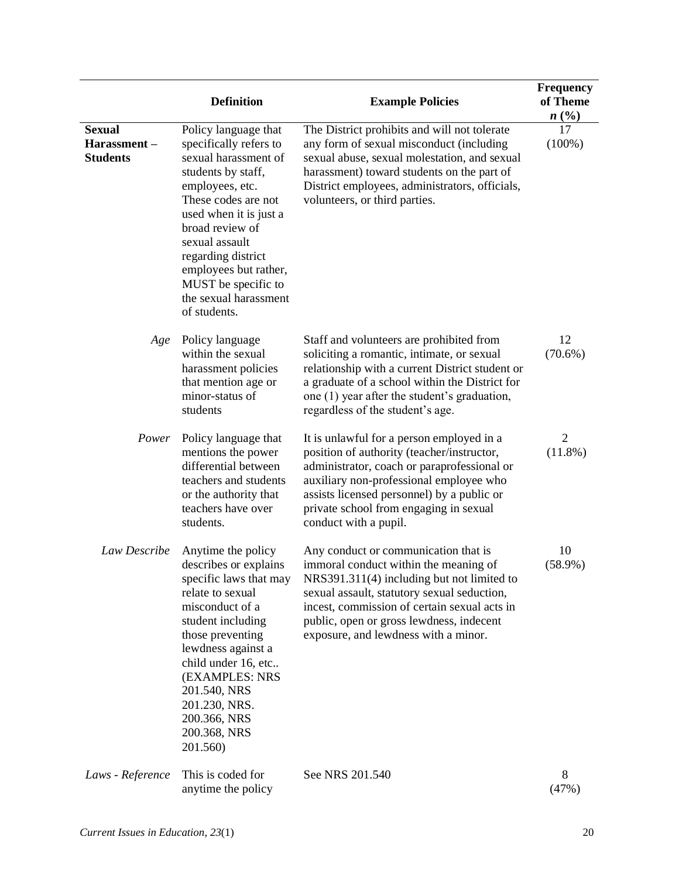|                                                 | <b>Definition</b>                                                                                                                                                                                                                                                                                                    | <b>Example Policies</b>                                                                                                                                                                                                                                                                                        | <b>Frequency</b><br>of Theme<br>n(%) |
|-------------------------------------------------|----------------------------------------------------------------------------------------------------------------------------------------------------------------------------------------------------------------------------------------------------------------------------------------------------------------------|----------------------------------------------------------------------------------------------------------------------------------------------------------------------------------------------------------------------------------------------------------------------------------------------------------------|--------------------------------------|
| <b>Sexual</b><br>Harassment-<br><b>Students</b> | Policy language that<br>specifically refers to<br>sexual harassment of<br>students by staff,<br>employees, etc.<br>These codes are not<br>used when it is just a<br>broad review of<br>sexual assault<br>regarding district<br>employees but rather,<br>MUST be specific to<br>the sexual harassment<br>of students. | The District prohibits and will not tolerate<br>any form of sexual misconduct (including<br>sexual abuse, sexual molestation, and sexual<br>harassment) toward students on the part of<br>District employees, administrators, officials,<br>volunteers, or third parties.                                      | 17<br>$(100\%)$                      |
| Age                                             | Policy language<br>within the sexual<br>harassment policies<br>that mention age or<br>minor-status of<br>students                                                                                                                                                                                                    | Staff and volunteers are prohibited from<br>soliciting a romantic, intimate, or sexual<br>relationship with a current District student or<br>a graduate of a school within the District for<br>one (1) year after the student's graduation,<br>regardless of the student's age.                                | 12<br>$(70.6\%)$                     |
| Power                                           | Policy language that<br>mentions the power<br>differential between<br>teachers and students<br>or the authority that<br>teachers have over<br>students.                                                                                                                                                              | It is unlawful for a person employed in a<br>position of authority (teacher/instructor,<br>administrator, coach or paraprofessional or<br>auxiliary non-professional employee who<br>assists licensed personnel) by a public or<br>private school from engaging in sexual<br>conduct with a pupil.             | $\overline{2}$<br>$(11.8\%)$         |
| Law Describe                                    | Anytime the policy<br>describes or explains<br>specific laws that may<br>relate to sexual<br>misconduct of a<br>student including<br>those preventing<br>lewdness against a<br>child under 16, etc<br>(EXAMPLES: NRS<br>201.540, NRS<br>201.230, NRS.<br>200.366, NRS<br>200.368, NRS<br>201.560)                    | Any conduct or communication that is<br>immoral conduct within the meaning of<br>NRS391.311(4) including but not limited to<br>sexual assault, statutory sexual seduction,<br>incest, commission of certain sexual acts in<br>public, open or gross lewdness, indecent<br>exposure, and lewdness with a minor. | 10<br>$(58.9\%)$                     |
| Laws - Reference                                | This is coded for<br>anytime the policy                                                                                                                                                                                                                                                                              | See NRS 201.540                                                                                                                                                                                                                                                                                                | 8<br>(47%)                           |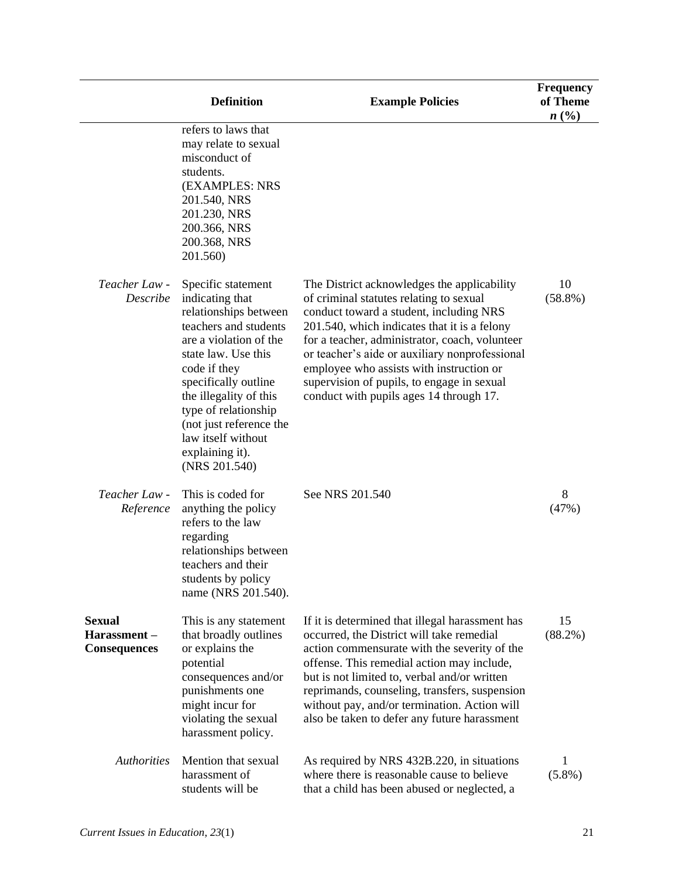|                                                     | <b>Definition</b>                                                                                                                                                                                                                                                                                                       | <b>Example Policies</b>                                                                                                                                                                                                                                                                                                                                                                                                    | <b>Frequency</b><br>of Theme<br>n(%) |
|-----------------------------------------------------|-------------------------------------------------------------------------------------------------------------------------------------------------------------------------------------------------------------------------------------------------------------------------------------------------------------------------|----------------------------------------------------------------------------------------------------------------------------------------------------------------------------------------------------------------------------------------------------------------------------------------------------------------------------------------------------------------------------------------------------------------------------|--------------------------------------|
|                                                     | refers to laws that<br>may relate to sexual<br>misconduct of<br>students.<br>(EXAMPLES: NRS<br>201.540, NRS<br>201.230, NRS<br>200.366, NRS<br>200.368, NRS<br>201.560)                                                                                                                                                 |                                                                                                                                                                                                                                                                                                                                                                                                                            |                                      |
| Teacher Law -<br>Describe                           | Specific statement<br>indicating that<br>relationships between<br>teachers and students<br>are a violation of the<br>state law. Use this<br>code if they<br>specifically outline<br>the illegality of this<br>type of relationship<br>(not just reference the<br>law itself without<br>explaining it).<br>(NRS 201.540) | The District acknowledges the applicability<br>of criminal statutes relating to sexual<br>conduct toward a student, including NRS<br>201.540, which indicates that it is a felony<br>for a teacher, administrator, coach, volunteer<br>or teacher's aide or auxiliary nonprofessional<br>employee who assists with instruction or<br>supervision of pupils, to engage in sexual<br>conduct with pupils ages 14 through 17. | 10<br>$(58.8\%)$                     |
| Teacher Law -<br>Reference                          | This is coded for<br>anything the policy<br>refers to the law<br>regarding<br>relationships between<br>teachers and their<br>students by policy<br>name (NRS 201.540).                                                                                                                                                  | See NRS 201.540                                                                                                                                                                                                                                                                                                                                                                                                            | 8<br>(47%)                           |
| <b>Sexual</b><br>Harassment-<br><b>Consequences</b> | This is any statement<br>that broadly outlines<br>or explains the<br>potential<br>consequences and/or<br>punishments one<br>might incur for<br>violating the sexual<br>harassment policy.                                                                                                                               | If it is determined that illegal harassment has<br>occurred, the District will take remedial<br>action commensurate with the severity of the<br>offense. This remedial action may include,<br>but is not limited to, verbal and/or written<br>reprimands, counseling, transfers, suspension<br>without pay, and/or termination. Action will<br>also be taken to defer any future harassment                                | 15<br>$(88.2\%)$                     |
| <b>Authorities</b>                                  | Mention that sexual<br>harassment of<br>students will be                                                                                                                                                                                                                                                                | As required by NRS 432B.220, in situations<br>where there is reasonable cause to believe<br>that a child has been abused or neglected, a                                                                                                                                                                                                                                                                                   | 1<br>$(5.8\%)$                       |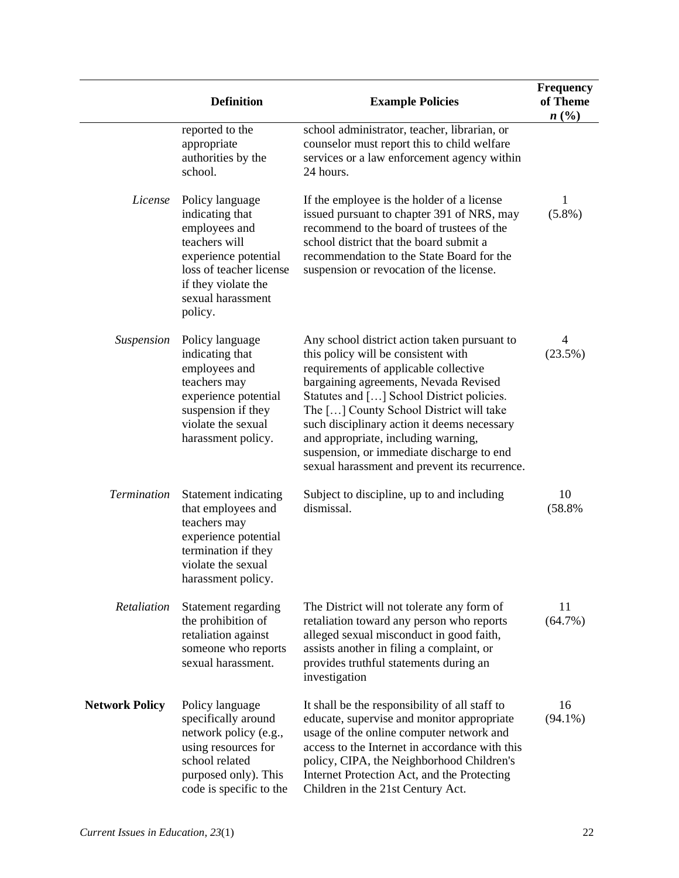|                       | <b>Definition</b>                                                                                                                                                              | <b>Example Policies</b>                                                                                                                                                                                                                                                                                                                                                                                                                           | <b>Frequency</b><br>of Theme<br>n(%) |
|-----------------------|--------------------------------------------------------------------------------------------------------------------------------------------------------------------------------|---------------------------------------------------------------------------------------------------------------------------------------------------------------------------------------------------------------------------------------------------------------------------------------------------------------------------------------------------------------------------------------------------------------------------------------------------|--------------------------------------|
|                       | reported to the<br>appropriate<br>authorities by the<br>school.                                                                                                                | school administrator, teacher, librarian, or<br>counselor must report this to child welfare<br>services or a law enforcement agency within<br>24 hours.                                                                                                                                                                                                                                                                                           |                                      |
| License               | Policy language<br>indicating that<br>employees and<br>teachers will<br>experience potential<br>loss of teacher license<br>if they violate the<br>sexual harassment<br>policy. | If the employee is the holder of a license<br>issued pursuant to chapter 391 of NRS, may<br>recommend to the board of trustees of the<br>school district that the board submit a<br>recommendation to the State Board for the<br>suspension or revocation of the license.                                                                                                                                                                         | 1<br>$(5.8\%)$                       |
| <b>Suspension</b>     | Policy language<br>indicating that<br>employees and<br>teachers may<br>experience potential<br>suspension if they<br>violate the sexual<br>harassment policy.                  | Any school district action taken pursuant to<br>this policy will be consistent with<br>requirements of applicable collective<br>bargaining agreements, Nevada Revised<br>Statutes and [] School District policies.<br>The [] County School District will take<br>such disciplinary action it deems necessary<br>and appropriate, including warning,<br>suspension, or immediate discharge to end<br>sexual harassment and prevent its recurrence. | 4<br>(23.5%)                         |
| <b>Termination</b>    | Statement indicating<br>that employees and<br>teachers may<br>experience potential<br>termination if they<br>violate the sexual<br>harassment policy.                          | Subject to discipline, up to and including<br>dismissal.                                                                                                                                                                                                                                                                                                                                                                                          | 10<br>(58.8%                         |
| Retaliation           | Statement regarding<br>the prohibition of<br>retaliation against<br>someone who reports<br>sexual harassment.                                                                  | The District will not tolerate any form of<br>retaliation toward any person who reports<br>alleged sexual misconduct in good faith,<br>assists another in filing a complaint, or<br>provides truthful statements during an<br>investigation                                                                                                                                                                                                       | 11<br>$(64.7\%)$                     |
| <b>Network Policy</b> | Policy language<br>specifically around<br>network policy (e.g.,<br>using resources for<br>school related<br>purposed only). This<br>code is specific to the                    | It shall be the responsibility of all staff to<br>educate, supervise and monitor appropriate<br>usage of the online computer network and<br>access to the Internet in accordance with this<br>policy, CIPA, the Neighborhood Children's<br>Internet Protection Act, and the Protecting<br>Children in the 21st Century Act.                                                                                                                       | 16<br>$(94.1\%)$                     |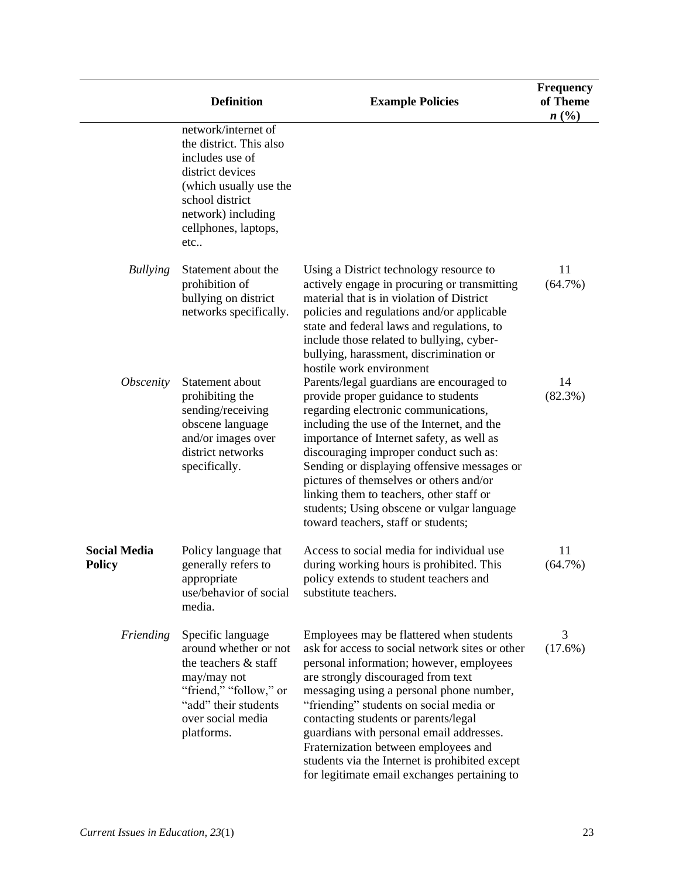|                                      | <b>Definition</b>                                                                                                                                                                       | <b>Example Policies</b>                                                                                                                                                                                                                                                                                                                                                                                                                                                                            | <b>Frequency</b><br>of Theme<br>n(%) |
|--------------------------------------|-----------------------------------------------------------------------------------------------------------------------------------------------------------------------------------------|----------------------------------------------------------------------------------------------------------------------------------------------------------------------------------------------------------------------------------------------------------------------------------------------------------------------------------------------------------------------------------------------------------------------------------------------------------------------------------------------------|--------------------------------------|
|                                      | network/internet of<br>the district. This also<br>includes use of<br>district devices<br>(which usually use the<br>school district<br>network) including<br>cellphones, laptops,<br>etc |                                                                                                                                                                                                                                                                                                                                                                                                                                                                                                    |                                      |
| <b>Bullying</b>                      | Statement about the<br>prohibition of<br>bullying on district<br>networks specifically.                                                                                                 | Using a District technology resource to<br>actively engage in procuring or transmitting<br>material that is in violation of District<br>policies and regulations and/or applicable<br>state and federal laws and regulations, to<br>include those related to bullying, cyber-<br>bullying, harassment, discrimination or<br>hostile work environment                                                                                                                                               | 11<br>(64.7%)                        |
| <i><b>Obscenity</b></i>              | Statement about<br>prohibiting the<br>sending/receiving<br>obscene language<br>and/or images over<br>district networks<br>specifically.                                                 | Parents/legal guardians are encouraged to<br>provide proper guidance to students<br>regarding electronic communications,<br>including the use of the Internet, and the<br>importance of Internet safety, as well as<br>discouraging improper conduct such as:<br>Sending or displaying offensive messages or<br>pictures of themselves or others and/or<br>linking them to teachers, other staff or<br>students; Using obscene or vulgar language<br>toward teachers, staff or students;           | 14<br>(82.3%)                        |
| <b>Social Media</b><br><b>Policy</b> | Policy language that<br>generally refers to<br>appropriate<br>use/behavior of social<br>media.                                                                                          | Access to social media for individual use<br>during working hours is prohibited. This<br>policy extends to student teachers and<br>substitute teachers.                                                                                                                                                                                                                                                                                                                                            | 11<br>$(64.7\%)$                     |
| Friending                            | Specific language<br>around whether or not<br>the teachers & staff<br>may/may not<br>"friend," "follow," or<br>"add" their students<br>over social media<br>platforms.                  | Employees may be flattered when students<br>ask for access to social network sites or other<br>personal information; however, employees<br>are strongly discouraged from text<br>messaging using a personal phone number,<br>"friending" students on social media or<br>contacting students or parents/legal<br>guardians with personal email addresses.<br>Fraternization between employees and<br>students via the Internet is prohibited except<br>for legitimate email exchanges pertaining to | 3<br>(17.6%)                         |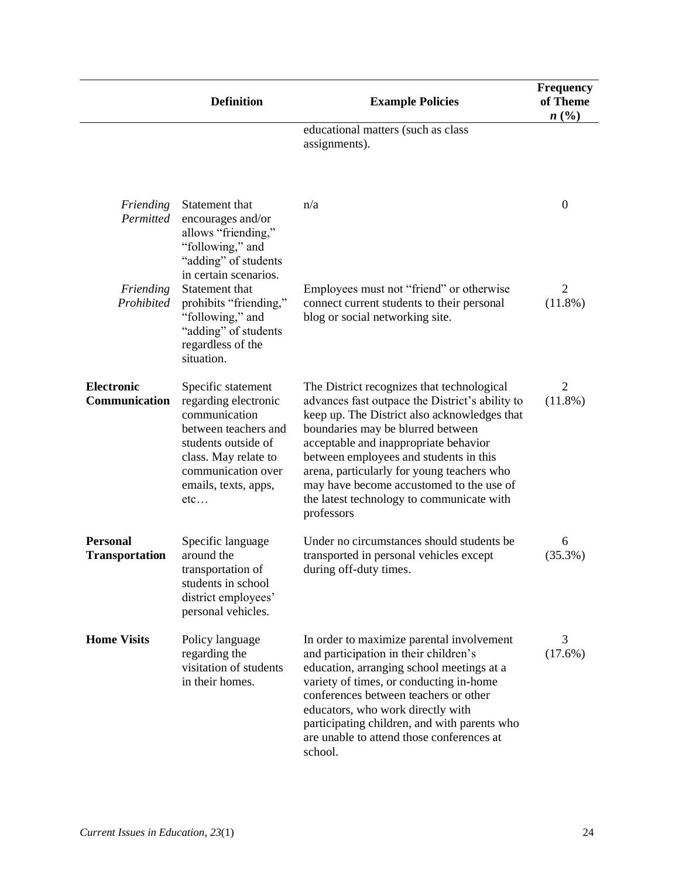|                                          | <b>Definition</b>                                                                                                                                                                       | <b>Example Policies</b>                                                                                                                                                                                                                                                                                                                                                                                                    | <b>Frequency</b><br>of Theme<br>n(%) |
|------------------------------------------|-----------------------------------------------------------------------------------------------------------------------------------------------------------------------------------------|----------------------------------------------------------------------------------------------------------------------------------------------------------------------------------------------------------------------------------------------------------------------------------------------------------------------------------------------------------------------------------------------------------------------------|--------------------------------------|
|                                          |                                                                                                                                                                                         | educational matters (such as class<br>assignments).                                                                                                                                                                                                                                                                                                                                                                        |                                      |
| Friending<br>Permitted                   | Statement that<br>encourages and/or<br>allows "friending,"<br>"following," and<br>"adding" of students<br>in certain scenarios.                                                         | n/a                                                                                                                                                                                                                                                                                                                                                                                                                        | $\mathbf{0}$                         |
| Friending<br>Prohibited                  | Statement that<br>prohibits "friending,"<br>"following," and<br>"adding" of students<br>regardless of the<br>situation.                                                                 | Employees must not "friend" or otherwise<br>connect current students to their personal<br>blog or social networking site.                                                                                                                                                                                                                                                                                                  | $\overline{2}$<br>$(11.8\%)$         |
| <b>Electronic</b><br>Communication       | Specific statement<br>regarding electronic<br>communication<br>between teachers and<br>students outside of<br>class. May relate to<br>communication over<br>emails, texts, apps,<br>etc | The District recognizes that technological<br>advances fast outpace the District's ability to<br>keep up. The District also acknowledges that<br>boundaries may be blurred between<br>acceptable and inappropriate behavior<br>between employees and students in this<br>arena, particularly for young teachers who<br>may have become accustomed to the use of<br>the latest technology to communicate with<br>professors | $\overline{2}$<br>$(11.8\%)$         |
| <b>Personal</b><br><b>Transportation</b> | Specific language<br>around the<br>transportation of<br>students in school<br>district employees'<br>personal vehicles.                                                                 | Under no circumstances should students be<br>transported in personal vehicles except<br>during off-duty times.                                                                                                                                                                                                                                                                                                             | 6<br>(35.3%)                         |
| <b>Home Visits</b>                       | Policy language<br>regarding the<br>visitation of students<br>in their homes.                                                                                                           | In order to maximize parental involvement<br>and participation in their children's<br>education, arranging school meetings at a<br>variety of times, or conducting in-home<br>conferences between teachers or other<br>educators, who work directly with<br>participating children, and with parents who<br>are unable to attend those conferences at<br>school.                                                           | 3<br>$(17.6\%)$                      |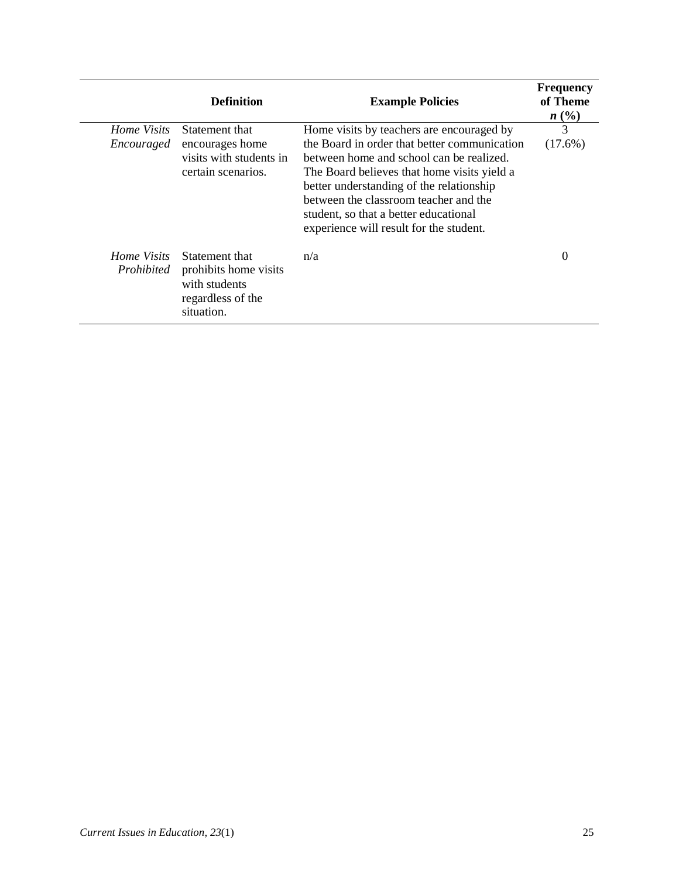|                           | <b>Definition</b>                                                                           | <b>Example Policies</b>                                                                                                                                                                                                                                                                                          | <b>Frequency</b><br>of Theme<br>n(%) |
|---------------------------|---------------------------------------------------------------------------------------------|------------------------------------------------------------------------------------------------------------------------------------------------------------------------------------------------------------------------------------------------------------------------------------------------------------------|--------------------------------------|
| Home Visits               | Statement that                                                                              | Home visits by teachers are encouraged by                                                                                                                                                                                                                                                                        | 3                                    |
| Encouraged                | encourages home<br>visits with students in<br>certain scenarios.                            | the Board in order that better communication<br>between home and school can be realized.<br>The Board believes that home visits yield a<br>better understanding of the relationship<br>between the classroom teacher and the<br>student, so that a better educational<br>experience will result for the student. | $(17.6\%)$                           |
| Home Visits<br>Prohibited | Statement that<br>prohibits home visits<br>with students<br>regardless of the<br>situation. | n/a                                                                                                                                                                                                                                                                                                              | 0                                    |